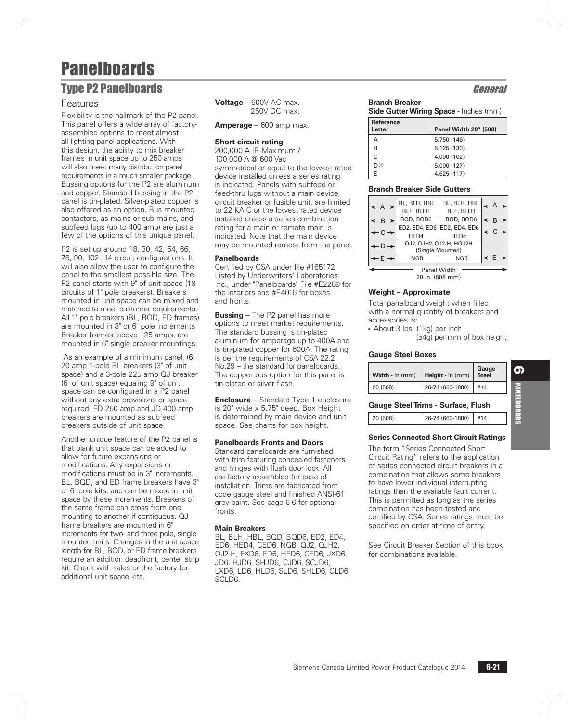## **Type P2 Panelboards General Security Contract Contract Contract Contract Contract Contract Contract Contract Contract Contract Contract Contract Contract Contract Contract Contract Contract Contract Contract Contract Cont**

### Features

Flexibility is the hallmark of the P2 panel. This panel offers a wide array of factoryassembled options to meet almost all lighting panel applications. With this design, the ability to mix breaker frames in unit space up to 250 amps will also meet many distribution panel requirements in a much smaller package. Bussing options for the P2 are aluminum and copper. Standard bussing in the P2 panel is tin-plated. Silver-plated copper is also offered as an option. Bus mounted contactors, as mains or sub mains, and subfeed lugs (up to 400 amp) are just a few of the options of this unique panel.

P2 is set up around 18, 30, 42, 54, 66, 78, 90, 102.114 circuit configurations. It will also allow the user to configure the panel to the smallest possible size. The P2 panel starts with 9" of unit space (18 circuits of 1" pole breakers). Breakers mounted in unit space can be mixed and matched to meet customer requirements. All 1" pole breakers (BL, BQD, ED frames) are mounted in 3" or 6" pole increments. Breaker frames, above 125 amps, are mounted in 6" single breaker mountings.

 As an example of a minimum panel, (6) 20 amp 1-pole BL breakers (3" of unit space) and a 3-pole 225 amp QJ breaker (6" of unit space) equaling 9" of unit space can be configured in a P2 panel without any extra provisions or space required. FD 250 amp and JD 400 amp breakers are mounted as subfeed breakers outside of unit space.

Another unique feature of the P2 panel is that blank unit space can be added to allow for future expansions or modifications. Any expansions or modifications must be in 3" increments. BL, BQD, and ED frame breakers have 3" or 6" pole kits, and can be mixed in unit space by these increments. Breakers of the same frame can cross from one mounting to another if contiguous. QJ frame breakers are mounted in 6" increments for two- and three pole, single mounted units. Changes in the unit space length for BL, BQD, or ED frame breakers require an addition deadfront, center strip kit. Check with sales or the factory for additional unit space kits.

**Voltage** – 600V AC max. 250V DC max.

**Amperage** – 600 amp max.

#### **Short circuit rating**

200,000 A IR Maximum / 100,000 A @ 600 Vac symmetrical or equal to the lowest rated device installed unless a series rating is indicated. Panels with subfeed or feed-thru lugs without a main device, circuit breaker or fusible unit, are limited to 22 KAIC or the lowest rated device installed unless a series combination rating for a main or remote main is indicated. Note that the main device may be mounted remote from the panel.

#### **Panelboards**

Certified by CSA under file #165172 Listed by Underwriters' Laboratories Inc., under "Panelboards" File #E2269 for the interiors and #E4016 for boxes and fronts.

**Bussing** – The P2 panel has more options to meet market requirements. The standard bussing is tin-plated aluminum for amperage up to 400A and is tin-plated copper for 600A. The rating is per the requirements of CSA 22.2 No.29 – the standard for panelboards. The copper bus option for this panel is tin-plated or silver flash.

**Enclosure** – Standard Type 1 enclosure is 20" wide x 5.75" deep. Box Height is determined by main device and unit space. See charts for box height.

#### **Panelboards Fronts and Doors**

Standard panelboards are furnished with trim featuring concealed fasteners and hinges with flush door lock. All are factory assembled for ease of installation. Trims are fabricated from code gauge steel and finished ANSI-61 grey paint. See page 6-6 for optional fronts.

#### **Main Breakers**

BL, BLH, HBL, BQD, BQD6, ED2, ED4, ED6, HED4, CED6, NGB, QJ2, QJH2, QJ2-H, FXD6, FD6, HFD6, CFD6, JXD6, JD6, HJD6, SHJD6, CJD6, SCJD6, LXD6, LD6, HLD6, SLD6, SHLD6, CLD6, SCLD6.

### **Branch Breaker**

| <b>Side Gutter Wiring Space - Inches (mm)</b> |  |  |  |
|-----------------------------------------------|--|--|--|
|                                               |  |  |  |

| <b>Reference</b><br>Letter | Panel Width 20" (508) |
|----------------------------|-----------------------|
| А                          | 5.750 (146)           |
| R                          | 5.125 (130)           |
| $\mathsf{C}$               | 4.000 (102)           |
| D(2)                       | 5.000 (127)           |
| F                          | 4.625 (117)           |

#### **Branch Breaker Side Gutters**

| $\leftarrow A \rightarrow$   | BL, BLH, HBL            | BL, BLH, HBL                |                              |  |  |  |  |
|------------------------------|-------------------------|-----------------------------|------------------------------|--|--|--|--|
|                              | BLF, BLFH               | BLF, BLFH                   |                              |  |  |  |  |
| $\leftarrow$ R $\rightarrow$ | BOD, BOD6               | BQD, BQD6                   | $\leftarrow$ B $\rightarrow$ |  |  |  |  |
| $\leftarrow$ C $\rightarrow$ |                         | ED2, ED4, ED6 ED2, ED4, ED6 | $\leftarrow$ C $\rightarrow$ |  |  |  |  |
|                              | HED4                    | HED4                        |                              |  |  |  |  |
| $\leftarrow$ D $\rightarrow$ | QJ2, QJH2, QJ2-H, HQJ2H |                             |                              |  |  |  |  |
|                              | (Single Mounted)        |                             |                              |  |  |  |  |
| $\leftarrow$ E $\rightarrow$ | NGB                     | <b>NGB</b>                  |                              |  |  |  |  |
|                              |                         |                             |                              |  |  |  |  |
| <b>Panel Width</b>           |                         |                             |                              |  |  |  |  |
| 20 in. (508 mm)              |                         |                             |                              |  |  |  |  |

#### **Weight – Approximate**

Total panelboard weight when filled with a normal quantity of breakers and accessories is:

- About 3 lbs. (1kg) per inch

(54g) per mm of box height

#### **Gauge Steel Boxes**

| Width - in (mm) | <b>Height</b> - in $(mm)$ | Gauge<br>Steel |
|-----------------|---------------------------|----------------|
| 20 (508)        | 26-74 (660-1880)          | #14            |

#### **Gauge Steel Trims - Surface, Flush**

| 20 (508) | $\mid$ 26-74 (660-1880) #14 |  |
|----------|-----------------------------|--|
|          |                             |  |

#### **Series Connected Short Circuit Ratings**

The term "Series Connected Short Circuit Rating" refers to the application of series connected circuit breakers in a combination that allows some breakers to have lower individual interrupting ratings than the available fault current. This is permitted as long as the series combination has been tested and certified by CSA. Series ratings must be specified on order at time of entry.

See Circuit Breaker Section of this book for combinations available.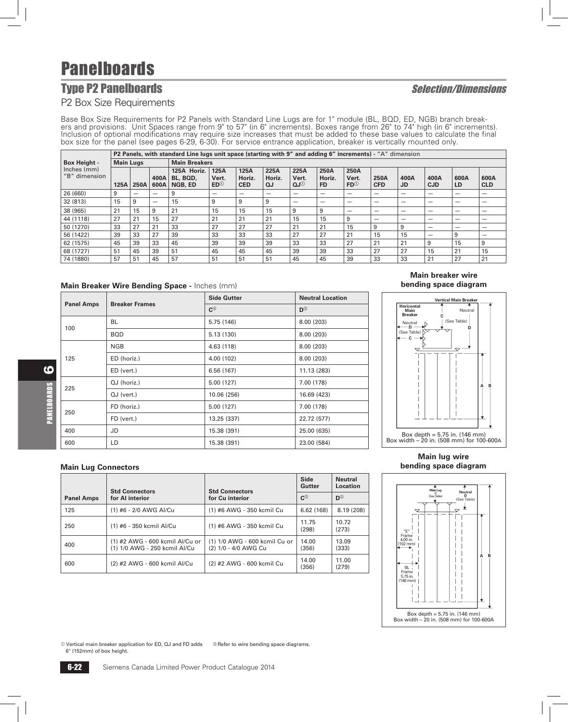## **Type P2 Panelboards** The Selection/Dimensions

### P2 Box Size Requirements

Base Box Size Requirements for P2 Panels with Standard Line Lugs are for 1" module (BL, BQD, ED, NGB) branch breakers and provisions. Unit Spaces range from 9" to 57" (in 6" increments). Boxes range from 26" to 74" high (i Inclusion of optional modifications may require size increases that must be added to these base values to calculate the final box size for the panel (see pages 6-29, 6-30). For service entrance application, breaker is vertically mounted only.

|                                         |      | P2 Panels, with standard Line lugs unit space (starting with 9" and adding 6" increments) - "A" dimension |              |                                    |                               |                              |                      |                                  |                             |                               |                          |                   |                    |            |                    |
|-----------------------------------------|------|-----------------------------------------------------------------------------------------------------------|--------------|------------------------------------|-------------------------------|------------------------------|----------------------|----------------------------------|-----------------------------|-------------------------------|--------------------------|-------------------|--------------------|------------|--------------------|
| <b>Main Lugs</b><br><b>Box Height -</b> |      |                                                                                                           |              | <b>Main Breakers</b>               |                               |                              |                      |                                  |                             |                               |                          |                   |                    |            |                    |
| Inches (mm)<br>"B" dimension            | 125A | 250A                                                                                                      | 400A<br>600A | 125A Horiz.<br>BL, BQD,<br>NGB, ED | 125A<br>Vert.<br>$ED^{\odot}$ | 125A<br>Horiz.<br><b>CED</b> | 225A<br>Horiz.<br>QJ | 225A<br>Vert.<br>QJ <sup>①</sup> | 250A<br>Horiz.<br><b>FD</b> | 250A<br>Vert.<br>$FD^{\odot}$ | 250A<br><b>CFD</b>       | 400A<br><b>JD</b> | 400A<br><b>CJD</b> | 600A<br>LD | 600A<br><b>CLD</b> |
| 26 (660)                                | 9    |                                                                                                           | -            | 9                                  |                               | $\overline{\phantom{a}}$     |                      | _                                | -                           | -                             | $\overline{\phantom{a}}$ | -                 | -                  | -          |                    |
| 32 (813)                                | 15   | 9                                                                                                         | -            | 15                                 | 9                             | 9                            | 9                    | -                                | -                           | -                             | -                        | -                 | -                  | -          |                    |
| 38 (965)                                | 21   | 15                                                                                                        | 9            | 21                                 | 15                            | 15                           | 15                   | 9                                | 9                           | -                             | -                        | -                 | -                  | -          |                    |
| 44 (1118)                               | 27   | 21                                                                                                        | 15           | 27                                 | 21                            | 21                           | 21                   | 15                               | 15                          | 9                             | -                        | -                 |                    | -          |                    |
| 50 (1270)                               | 33   | 27                                                                                                        | 21           | 33                                 | 27                            | 27                           | 27                   | 21                               | 21                          | 15                            | 9                        | 9                 | -                  | -          |                    |
| 56 (1422)                               | 39   | 33                                                                                                        | 27           | 39                                 | 33                            | 33                           | 33                   | 27                               | 27                          | 21                            | 15                       | 15                | -                  | 9          |                    |
| 62 (1575)                               | 45   | 39                                                                                                        | 33           | 45                                 | 39                            | 39                           | 39                   | 33                               | 33                          | 27                            | 21                       | 21                | 9                  | 15         | 9                  |
| 68 (1727)                               | 51   | 45                                                                                                        | 39           | 51                                 | 45                            | 45                           | 45                   | 39                               | 39                          | 33                            | 27                       | 27                | 15                 | 21         | 15                 |
| 74 (1880)                               | 57   | 51                                                                                                        | 45           | 57                                 | 51                            | 51                           | 51                   | 45                               | 45                          | 39                            | 33                       | 33                | 21                 | 27         | 21                 |

#### **Main Breaker Wire Bending Space -** Inches (mm)

|                   | <b>Breaker Frames</b> | <b>Side Gutter</b> | <b>Neutral Location</b> |
|-------------------|-----------------------|--------------------|-------------------------|
| <b>Panel Amps</b> |                       | $C^{\odot}$        | $D^{\circledcirc}$      |
| 100               | <b>BL</b>             | 5.75 (146)         | 8.00 (203)              |
|                   | <b>BOD</b>            | 5.13(130)          | 8.00 (203)              |
|                   | <b>NGB</b>            | 4.63(118)          | 8.00(203)               |
| 125               | ED (horiz.)           | 4.00(102)          | 8.00(203)               |
|                   | ED (vert.)            | 6.56(167)          | 11.13 (283)             |
| 225               | QJ (horiz.)           | 5.00(127)          | 7.00 (178)              |
|                   | $QJ$ (vert.)          | 10.06 (256)        | 16.69 (423)             |
| 250               | FD (horiz.)           | 5.00(127)          | 7.00 (178)              |
|                   | FD (vert.)            | 13.25 (337)        | 22.72 (577)             |
| 400               | JD                    | 15.38 (391)        | 25.00 (635)             |
| 600               | LD                    | 15.38 (391)        | 23.00 (584)             |

#### **Main breaker wire bending space diagram**



#### **Main Lug Connectors**

|                   | <b>Std Connectors</b><br><b>Std Connectors</b>                   |                                                       | Side<br>Gutter       | <b>Neutral</b><br>Location |
|-------------------|------------------------------------------------------------------|-------------------------------------------------------|----------------------|----------------------------|
| <b>Panel Amps</b> | for AI interior                                                  | for Cu interior                                       | $\mathbf{C}^{\odot}$ | $D^{\circledcirc}$         |
| 125               | (1) #6 - 2/0 AWG AI/Cu                                           | (1) #6 AWG - 350 kcmil Cu                             | 6.62(168)            | 8.19(208)                  |
| 250               | (1) #6 - 350 kcmil Al/Cu                                         | (1) #6 AWG - 350 kcmil Cu                             | 11.75<br>(298)       | 10.72<br>(273)             |
| 400               | (1) #2 AWG - 600 kcmil Al/Cu or<br>(1) 1/0 AWG - 250 kcmil Al/Cu | (1) 1/0 AWG - 600 kcmil Cu or<br>(2) 1/0 - 4/0 AWG Cu | 14.00<br>(356)       | 13.09<br>(333)             |
| 600               | (2) #2 AWG - 600 kcmil Al/Cu                                     | (2) #2 AWG - 600 kcmil Cu                             | 14.00<br>(356)       | 11.00<br>(279)             |

**Main lug wire bending space diagram**



 $\textcircled{\tiny 1}$  Vertical main breaker application for ED, QJ and FD adds 6" (152mm) of box height. <sup>2</sup> Refer to wire bending space diagrams.

6

PANELBOARDS

PANELBOARDS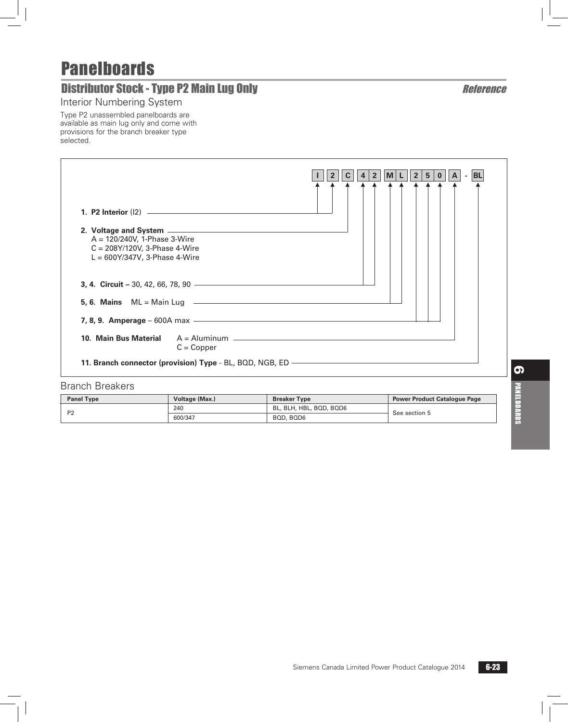# **Distributor Stock - Type P2 Main Lug Only Network Constrainer and Active Constrainer Reference**

Interior Numbering System

Type P2 unassembled panelboards are available as main lug only and come with provisions for the branch breaker type selected.

| 2. Voltage and System <u>entitled</u> and system and the system of the system of the system of the system of the system of the system of the system of the system of the system of the system of the system of the system of the sy<br>$A = 120/240V$ , 1-Phase 3-Wire<br>$C = 208Y/120V$ , 3-Phase 4-Wire<br>$L = 600Y/347V$ , 3-Phase 4-Wire | 5 <br>2 <sup>1</sup><br>- BL<br>$\mathbf{2}$<br>∣M ∣<br>$\overline{\mathbf{0}}$<br>A<br>4 |
|------------------------------------------------------------------------------------------------------------------------------------------------------------------------------------------------------------------------------------------------------------------------------------------------------------------------------------------------|-------------------------------------------------------------------------------------------|
|                                                                                                                                                                                                                                                                                                                                                |                                                                                           |
|                                                                                                                                                                                                                                                                                                                                                |                                                                                           |
| 7, 8, 9. Amperage - 600A max - 2000 - 2000 - 2010 - 2010 - 2010 - 2010 - 2010 - 2010 - 2010 - 2010 - 2010 - 20                                                                                                                                                                                                                                 |                                                                                           |
| 10. Main Bus Material<br>$C = Copper$                                                                                                                                                                                                                                                                                                          |                                                                                           |
| 11. Branch connector (provision) Type - BL, BQD, NGB, ED —                                                                                                                                                                                                                                                                                     |                                                                                           |

### Branch Breakers

| <b>Panel Type</b> | Voltage (Max.) | <b>Breaker Type</b>     | <b>Power Product Catalogue Page</b> |  |
|-------------------|----------------|-------------------------|-------------------------------------|--|
| D0                | 240            | BL, BLH, HBL, BQD, BQD6 | See section 5                       |  |
|                   | 600/347        | BQD, BQD6               |                                     |  |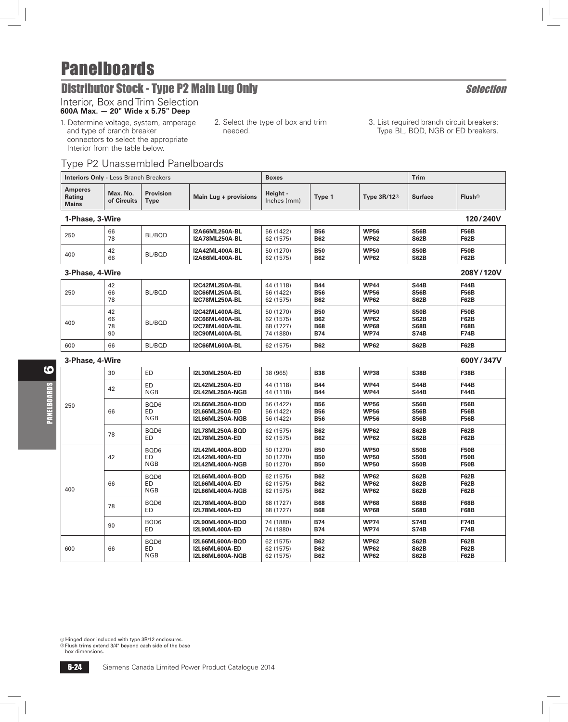# **Distributor Stock - Type P2 Main Lug Only Selection** Selection

## Interior, Box and Trim Selection

### **600A Max. — 20" Wide x 5.75" Deep**

- 1. Determine voltage, system, amperage and type of branch breaker connectors to select the appropriate Interior from the table below.
- 2. Select the type of box and trim needed.
- 3. List required branch circuit breakers: Type BL, BQD, NGB or ED breakers.

### Type P2 Unassembled Panelboards

| <b>Interiors Only - Less Branch Breakers</b> |                             |                                 | <b>Boxes</b>                                                                              |                                                  |                                                      | <b>Trim</b>                                              |                                                          |                                                          |  |  |
|----------------------------------------------|-----------------------------|---------------------------------|-------------------------------------------------------------------------------------------|--------------------------------------------------|------------------------------------------------------|----------------------------------------------------------|----------------------------------------------------------|----------------------------------------------------------|--|--|
| <b>Amperes</b><br>Rating<br><b>Mains</b>     | Max. No.<br>of Circuits     | <b>Provision</b><br><b>Type</b> | Main Lug + provisions                                                                     | Height -<br>Inches (mm)                          | Type 1                                               | Type $3R/12^{\circ}$                                     | <b>Surface</b>                                           | Flush $\circledcirc$                                     |  |  |
|                                              | 1-Phase, 3-Wire<br>120/240V |                                 |                                                                                           |                                                  |                                                      |                                                          |                                                          |                                                          |  |  |
| 250                                          | 66<br>78                    | BL/BQD                          | I2A66ML250A-BL<br><b>I2A78ML250A-BL</b>                                                   | 56 (1422)<br>62 (1575)                           | <b>B56</b><br><b>B62</b>                             | <b>WP56</b><br><b>WP62</b>                               | <b>S56B</b><br><b>S62B</b>                               | <b>F56B</b><br><b>F62B</b>                               |  |  |
| 400                                          | 42<br>66                    | BL/BQD                          | <b>I2A42ML400A-BL</b><br><b>I2A66ML400A-BL</b>                                            | 50 (1270)<br>62 (1575)                           | <b>B50</b><br><b>B62</b>                             | <b>WP50</b><br><b>WP62</b>                               | <b>S50B</b><br><b>S62B</b>                               | F50B<br><b>F62B</b>                                      |  |  |
| 3-Phase, 4-Wire                              |                             |                                 |                                                                                           |                                                  |                                                      |                                                          |                                                          | 208Y/120V                                                |  |  |
| 250                                          | 42<br>66<br>78              | BL/BQD                          | <b>I2C42ML250A-BL</b><br>I2C66ML250A-BL<br>I2C78ML250A-BL                                 | 44 (1118)<br>56 (1422)<br>62 (1575)              | <b>B44</b><br><b>B56</b><br><b>B62</b>               | <b>WP44</b><br><b>WP56</b><br><b>WP62</b>                | <b>S44B</b><br><b>S56B</b><br><b>S62B</b>                | <b>F44B</b><br><b>F56B</b><br><b>F62B</b>                |  |  |
| 400                                          | 42<br>66<br>78<br>90        | BL/BQD                          | <b>I2C42ML400A-BL</b><br>I2C66ML400A-BL<br><b>I2C78ML400A-BL</b><br><b>I2C90ML400A-BL</b> | 50 (1270)<br>62 (1575)<br>68 (1727)<br>74 (1880) | <b>B50</b><br><b>B62</b><br><b>B68</b><br><b>B74</b> | <b>WP50</b><br><b>WP62</b><br><b>WP68</b><br><b>WP74</b> | <b>S50B</b><br><b>S62B</b><br><b>S68B</b><br><b>S74B</b> | <b>F50B</b><br><b>F62B</b><br><b>F68B</b><br><b>F74B</b> |  |  |
| 600                                          | 66                          | BL/BQD                          | <b>I2C66ML600A-BL</b>                                                                     | 62 (1575)                                        | <b>B62</b>                                           | <b>WP62</b>                                              | <b>S62B</b>                                              | <b>F62B</b>                                              |  |  |
| 3-Phase, 4-Wire                              |                             |                                 |                                                                                           |                                                  |                                                      |                                                          |                                                          | 600Y/347V                                                |  |  |
|                                              | 30                          | ED                              | I2L30ML250A-ED                                                                            | 38 (965)                                         | <b>B38</b>                                           | <b>WP38</b>                                              | <b>S38B</b>                                              | <b>F38B</b>                                              |  |  |
|                                              | 42                          | ED<br><b>NGB</b>                | <b>I2L42ML250A-ED</b><br><b>I2L42ML250A-NGB</b>                                           | 44 (1118)<br>44 (1118)                           | <b>B44</b><br><b>B44</b>                             | <b>WP44</b><br><b>WP44</b>                               | <b>S44B</b><br><b>S44B</b>                               | <b>F44B</b><br><b>F44B</b>                               |  |  |
| 250                                          | 66                          | BQD6<br>ED<br><b>NGB</b>        | <b>I2L66ML250A-BQD</b><br>I2L66ML250A-ED<br>I2L66ML250A-NGB                               | 56 (1422)<br>56 (1422)<br>56 (1422)              | <b>B56</b><br><b>B56</b><br><b>B56</b>               | <b>WP56</b><br><b>WP56</b><br><b>WP56</b>                | <b>S56B</b><br><b>S56B</b><br><b>S56B</b>                | <b>F56B</b><br><b>F56B</b><br><b>F56B</b>                |  |  |
|                                              | 78                          | BQD6<br>ED                      | I2L78ML250A-BQD<br><b>I2L78ML250A-ED</b>                                                  | 62 (1575)<br>62 (1575)                           | <b>B62</b><br><b>B62</b>                             | <b>WP62</b><br><b>WP62</b>                               | <b>S62B</b><br><b>S62B</b>                               | <b>F62B</b><br><b>F62B</b>                               |  |  |
|                                              | 42                          | BQD6<br>ED<br><b>NGB</b>        | <b>I2L42ML400A-BQD</b><br><b>I2L42ML400A-ED</b><br>I2L42ML400A-NGB                        | 50 (1270)<br>50 (1270)<br>50 (1270)              | <b>B50</b><br><b>B50</b><br><b>B50</b>               | <b>WP50</b><br><b>WP50</b><br><b>WP50</b>                | <b>S50B</b><br><b>S50B</b><br><b>S50B</b>                | <b>F50B</b><br><b>F50B</b><br><b>F50B</b>                |  |  |
| 400                                          | 66                          | BQD6<br>ED<br><b>NGB</b>        | <b>I2L66ML400A-BOD</b><br>I2L66ML400A-ED<br>I2L66ML400A-NGB                               | 62 (1575)<br>62 (1575)<br>62 (1575)              | <b>B62</b><br><b>B62</b><br><b>B62</b>               | <b>WP62</b><br><b>WP62</b><br><b>WP62</b>                | <b>S62B</b><br><b>S62B</b><br><b>S62B</b>                | <b>F62B</b><br><b>F62B</b><br><b>F62B</b>                |  |  |
|                                              | 78                          | BQD6<br>ED                      | <b>I2L78ML400A-BOD</b><br><b>I2L78ML400A-ED</b>                                           | 68 (1727)<br>68 (1727)                           | <b>B68</b><br><b>B68</b>                             | <b>WP68</b><br><b>WP68</b>                               | <b>S68B</b><br><b>S68B</b>                               | <b>F68B</b><br><b>F68B</b>                               |  |  |
|                                              | 90                          | BQD6<br>ED                      | <b>I2L90ML400A-BQD</b><br><b>I2L90ML400A-ED</b>                                           | 74 (1880)<br>74 (1880)                           | <b>B74</b><br><b>B74</b>                             | <b>WP74</b><br><b>WP74</b>                               | <b>S74B</b><br><b>S74B</b>                               | <b>F74B</b><br><b>F74B</b>                               |  |  |
| 600                                          | 66                          | BQD6<br>ED<br><b>NGB</b>        | <b>I2L66ML600A-BQD</b><br><b>I2L66ML600A-ED</b><br>I2L66ML600A-NGB                        | 62 (1575)<br>62 (1575)<br>62 (1575)              | <b>B62</b><br><b>B62</b><br><b>B62</b>               | <b>WP62</b><br><b>WP62</b><br><b>WP62</b>                | <b>S62B</b><br><b>S62B</b><br><b>S62B</b>                | <b>F62B</b><br><b>F62B</b><br><b>F62B</b>                |  |  |

a Hinged door included with type 3R/12 enclosures. b Flush trims extend 3/4" beyond each side of the base

box dimensions.

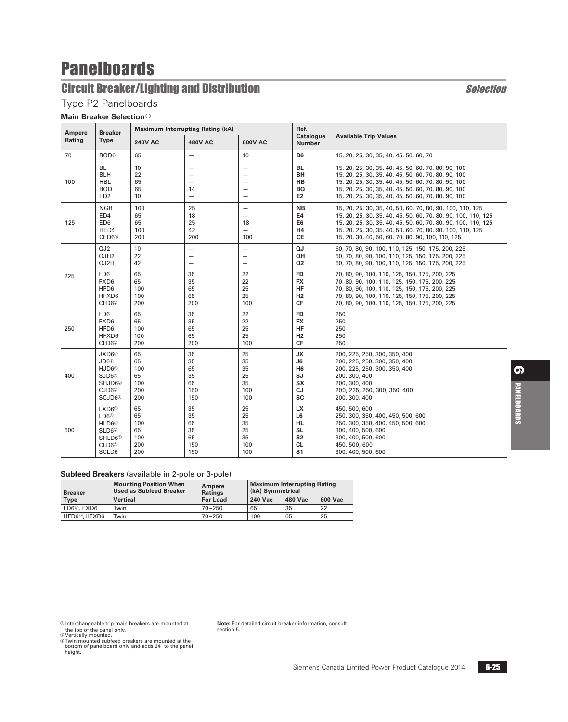# **Circuit Breaker/Lighting and Distribution** Selection Selection

### Type P2 Panelboards

**Main Breaker Selection**<sup>a</sup>

| <b>Breaker</b><br><b>Ampere</b> |                                                                                                                                                  |                                            | <b>Maximum Interrupting Rating (kA)</b>                                                |                                          | Ref.                                                                                       |                                                                                                                                                                                                                                                                                                               |  |
|---------------------------------|--------------------------------------------------------------------------------------------------------------------------------------------------|--------------------------------------------|----------------------------------------------------------------------------------------|------------------------------------------|--------------------------------------------------------------------------------------------|---------------------------------------------------------------------------------------------------------------------------------------------------------------------------------------------------------------------------------------------------------------------------------------------------------------|--|
| Rating                          | Type                                                                                                                                             | <b>240V AC</b>                             | <b>480V AC</b>                                                                         | 600V AC                                  | <b>Catalogue</b><br><b>Number</b>                                                          | <b>Available Trip Values</b>                                                                                                                                                                                                                                                                                  |  |
| 70                              | BQD6                                                                                                                                             | 65                                         | $\overline{\phantom{0}}$                                                               | 10                                       | <b>B6</b>                                                                                  | 15, 20, 25, 30, 35, 40, 45, 50, 60, 70                                                                                                                                                                                                                                                                        |  |
| 100                             | <b>BL</b><br><b>BLH</b><br><b>HBL</b><br><b>BOD</b><br>ED <sub>2</sub>                                                                           | 10<br>22<br>65<br>65<br>10                 | $\overline{\phantom{0}}$<br>$\overline{\phantom{0}}$<br>14<br>$\overline{\phantom{0}}$ | $\overline{\phantom{0}}$                 | <b>BL</b><br>BH<br>HB<br><b>BQ</b><br>E2                                                   | 15, 20, 25, 30, 35, 40, 45, 50, 60, 70, 80, 90, 100<br>15, 20, 25, 30, 35, 40, 45, 50, 60, 70, 80, 90, 100<br>15, 20, 25, 30, 35, 40, 45, 50, 60, 70, 80, 90, 100<br>15, 20, 25, 30, 35, 40, 45, 50, 60, 70, 80, 90, 100<br>15, 20, 25, 30, 35, 40, 45, 50, 60, 70, 80, 90, 100                               |  |
| 125                             | <b>NGB</b><br>ED4<br>ED <sub>6</sub><br>HED4<br>CED6 <sup>2</sup>                                                                                | 100<br>65<br>65<br>100<br>200              | 25<br>18<br>25<br>42<br>200                                                            | $\overline{\phantom{0}}$<br>18<br>100    | <b>NB</b><br>E4<br>E6<br>H4<br>СE                                                          | 15, 20, 25, 30, 35, 40, 50, 60, 70, 80, 90, 100, 110, 125<br>15, 20, 25, 30, 35, 40, 45, 50, 60, 70, 80, 90, 100, 110, 125<br>15, 20, 25, 30, 35, 40, 45, 50, 60, 70, 80, 90, 100, 110, 125<br>15, 20, 25, 30, 35, 40, 50, 60, 70, 80, 90, 100, 110, 125<br>15, 20, 30, 40, 50, 60, 70, 80, 90, 100, 110, 125 |  |
|                                 | QJ2<br>QJH2<br>QJ2H                                                                                                                              | 10<br>22<br>42                             | $\overline{\phantom{0}}$<br>$\overline{\phantom{0}}$<br>$\overline{\phantom{0}}$       | —<br>$\overline{\phantom{0}}$            | QJ<br>QH<br>Q2                                                                             | 60, 70, 80, 90, 100, 110, 125, 150, 175, 200, 225<br>60, 70, 80, 90, 100, 110, 125, 150, 175, 200, 225<br>60, 70, 80, 90, 100, 110, 125, 150, 175, 200, 225                                                                                                                                                   |  |
| 225                             | FD <sub>6</sub><br>FXD <sub>6</sub><br>HFD6<br>HFXD6<br>CFD6 <sup>2</sup>                                                                        | 65<br>65<br>100<br>100<br>200              | 35<br>35<br>65<br>65<br>200                                                            | 22<br>22<br>25<br>25<br>100              | <b>FD</b><br><b>FX</b><br><b>HF</b><br>H <sub>2</sub><br>CF                                | 70, 80, 90, 100, 110, 125, 150, 175, 200, 225<br>70, 80, 90, 100, 110, 125, 150, 175, 200, 225<br>70, 80, 90, 100, 110, 125, 150, 175, 200, 225<br>70, 80, 90, 100, 110, 125, 150, 175, 200, 225<br>70, 80, 90, 100, 110, 125, 150, 175, 200, 225                                                             |  |
| 250                             | FD <sub>6</sub><br>FXD6<br>HFD6<br>HFXD6<br>CFD6 <sup>®</sup>                                                                                    | 65<br>65<br>100<br>100<br>200              | 35<br>35<br>65<br>65<br>200                                                            | 22<br>22<br>25<br>25<br>100              | <b>FD</b><br><b>FX</b><br>HF<br>H2<br>CF                                                   | 250<br>250<br>250<br>250<br>250                                                                                                                                                                                                                                                                               |  |
| 400                             | JXD6 <sup>2</sup><br>JD6 <sup>2</sup><br>HJD6 <sup>2</sup><br>SJD6 <sup>2</sup><br>SHJD6 <sup>2</sup><br>CJD6 <sup>2</sup><br>SCJD6 <sup>2</sup> | 65<br>65<br>100<br>65<br>100<br>200<br>200 | 35<br>35<br>65<br>35<br>65<br>150<br>150                                               | 25<br>35<br>35<br>25<br>35<br>100<br>100 | JХ<br>J6<br>H <sub>6</sub><br>SJ<br><b>SX</b><br><b>CJ</b><br><b>SC</b>                    | 200, 225, 250, 300, 350, 400<br>200, 225, 250, 300, 350, 400<br>200, 225, 250, 300, 350, 400<br>200, 300, 400<br>200, 300, 400<br>200, 225, 250, 300, 350, 400<br>200, 300, 400                                                                                                                               |  |
| 600                             | LXD6 <sup>2</sup><br>LD6 <sup>2</sup><br>HLD6 <sup>2</sup><br>SLD6 <sup>2</sup><br>SHLD6 <sup>2</sup><br>CLD6 <sup>②</sup><br>SCLD6              | 65<br>65<br>100<br>65<br>100<br>200<br>200 | 35<br>35<br>65<br>35<br>65<br>150<br>150                                               | 25<br>25<br>35<br>25<br>35<br>100<br>100 | <b>LX</b><br>L6<br><b>HL</b><br><b>SL</b><br>S <sub>2</sub><br><b>CL</b><br>S <sub>1</sub> | 450, 500, 600<br>250, 300, 350, 400, 450, 500, 600<br>250, 300, 350, 400, 450, 500, 600<br>300, 400, 500, 600<br>300, 400, 500, 600<br>450, 500, 600<br>300, 400, 500, 600                                                                                                                                    |  |

#### **Subfeed Breakers** (available in 2-pole or 3-pole)

| <b>Breaker</b>          | <b>Mounting Position When</b><br><b>Used as Subfeed Breaker</b> | Ampere<br><b>Ratings</b> | <b>Maximum Interrupting Rating</b><br>(kA) Symmetrical |         |                |  |  |  |
|-------------------------|-----------------------------------------------------------------|--------------------------|--------------------------------------------------------|---------|----------------|--|--|--|
| <b>Type</b>             | <b>Vertical</b>                                                 | <b>For Load</b>          | 240 Vac                                                | 480 Vac | <b>600 Vac</b> |  |  |  |
| FD6 <sup>3</sup> , FXD6 | Twin                                                            | $70 - 250$               | 65                                                     | 35      | 22             |  |  |  |
| HFD6®, HFXD6            | Twin                                                            | $70 - 250$               | 100                                                    | 65      | 25             |  |  |  |

 $\circ$  Interchangeable trip main breakers are mounted at<br>the top of the panel only.<br> $\circ$  Vertically mounted.<br> $\circ$  Twin mounted subfeed breakers are mounted at the

bottom of panelboard only and adds 24" to the panel height.

**Note:** For detailed circuit breaker information, consult section 5.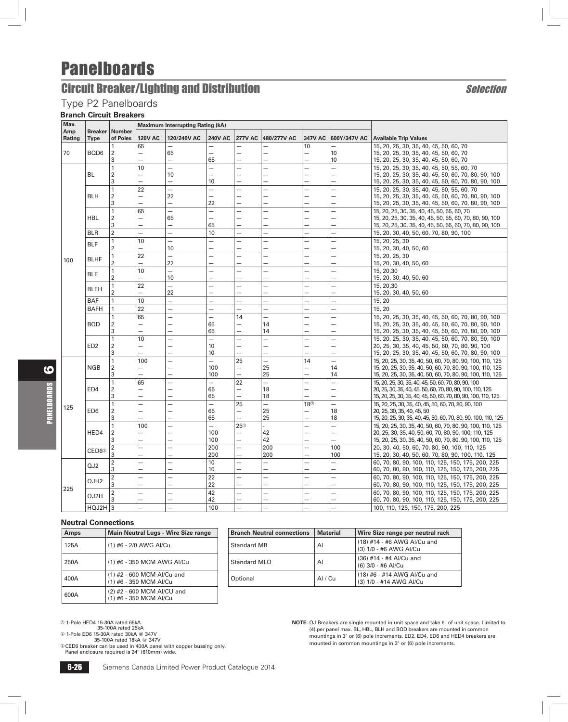## **Circuit Breaker/Lighting and Distribution** Selection Selection

### Type P2 Panelboards

### **Branch Circuit Breakers**

| <b>120V AC</b><br>120/240V AC<br><b>240V AC</b><br>480/277V AC<br>Rating<br><b>Type</b><br>of Poles<br><b>277V AC</b><br>347V AC 600Y/347V AC Available Trip Values<br>65<br>10<br>15, 20, 25, 30, 35, 40, 45, 50, 60, 70<br>70<br>BQD6<br>2<br>65<br>10<br>15, 20, 25, 30, 35, 40, 45, 50, 60, 70<br>$\overline{\phantom{0}}$<br>3<br>65<br>10<br>15, 20, 25, 30, 35, 40, 45, 50, 60, 70<br>-<br>$\overline{\phantom{0}}$<br>-<br>$\mathbf{1}$<br>10<br>$\overline{\phantom{0}}$<br>$\overline{\phantom{0}}$<br>15, 20, 25, 30, 35, 40, 45, 50, 55, 60, 70<br>$\overline{\phantom{a}}$<br>-<br><b>BL</b><br>$\overline{2}$<br>10<br>15, 20, 25, 30, 35, 40, 45, 50, 60, 70, 80, 90, 100<br>$\overline{\phantom{0}}$<br>$\overline{\phantom{0}}$<br>3<br>10<br>$\equiv$<br>15, 20, 25, 30, 35, 40, 45, 50, 60, 70, 80, 90, 100<br>$\equiv$<br>$\overline{\phantom{0}}$<br>$\equiv$<br>$\overline{\phantom{a}}$<br>$\mathbf{1}$<br>22<br>15, 20, 25, 30, 35, 40, 45, 50, 55, 60, 70<br>-<br>$\overline{\phantom{0}}$<br><b>BLH</b><br>$\overline{2}$<br>22<br>15, 20, 25, 30, 35, 40, 45, 50, 60, 70, 80, 90, 100<br>3<br>22<br>$\overline{ }$<br>15, 20, 25, 30, 35, 40, 45, 50, 60, 70, 80, 90, 100<br>$\overline{\phantom{0}}$<br>$\mathbf{1}$<br>65<br>15, 20, 25, 30, 35, 40, 45, 50, 55, 60, 70<br>$\overline{\phantom{0}}$<br>$\overline{\phantom{0}}$<br>$\overline{\phantom{a}}$<br>$\overline{\phantom{0}}$<br>L.<br>$\overline{\phantom{0}}$<br><b>HBL</b><br>$\overline{2}$<br>65<br>15, 20, 25, 30, 35, 40, 45, 50, 55, 60, 70, 80, 90, 100<br>$\overline{\phantom{0}}$<br>L.<br>3<br>65<br>$\overline{\phantom{0}}$<br>15, 20, 25, 30, 35, 40, 45, 50, 55, 60, 70, 80, 90, 100<br>$\overline{\phantom{0}}$<br>-<br>$\overline{2}$<br><b>BLR</b><br>10<br>$\overline{\phantom{0}}$<br>$\equiv$<br>15, 20, 30, 40, 50, 60, 70, 80, 90, 100<br>$\overline{\phantom{0}}$<br>$\overline{\phantom{0}}$<br>$\overline{\phantom{0}}$<br>$\overline{\phantom{0}}$<br>10<br>$\overline{a}$<br>1<br>15, 20, 25, 30<br>$\overline{\phantom{0}}$<br>$\overline{\phantom{0}}$<br>÷.<br><b>BLF</b><br>$\overline{2}$<br>10<br>15, 20, 30, 40, 50, 60<br>22<br>15, 20, 25, 30<br>$\mathbf{1}$<br>$\overline{\phantom{0}}$<br>$\overline{\phantom{0}}$<br>-<br><b>BLHF</b><br>100<br>$\overline{2}$<br>22<br>$\overline{\phantom{0}}$<br>$\overline{\phantom{0}}$<br>15, 20, 30, 40, 50, 60<br>$\mathbf{1}$<br>10<br>$\equiv$<br>$\overline{\phantom{0}}$<br>$\overline{\phantom{0}}$<br>15, 20, 30<br>$\overline{\phantom{0}}$<br><b>BLE</b><br>$\overline{2}$<br>10<br>15, 20, 30, 40, 50, 60<br>$\overline{\phantom{0}}$<br>$\overline{\phantom{0}}$<br>-<br>$\overline{\phantom{0}}$<br>$\overline{\phantom{0}}$<br>22<br>$\overline{a}$<br>1<br>$\equiv$<br>$\overline{\phantom{0}}$<br>$\equiv$<br>15, 20, 30<br>$\overline{\phantom{0}}$<br>$\overline{\phantom{0}}$<br><b>BLEH</b><br>22<br>$\overline{2}$<br>15, 20, 30, 40, 50, 60<br>$\overline{\phantom{0}}$<br>$\overline{\phantom{0}}$<br>$\overline{\phantom{0}}$<br>-<br>—<br><b>BAF</b><br>$\mathbf{1}$<br>10<br>15, 20<br>$\equiv$<br>$\equiv$<br>$\overline{\phantom{0}}$<br>$\overline{\phantom{0}}$<br>-<br>$\overline{\phantom{0}}$<br>22<br><b>BAFH</b><br>1<br>15, 20<br>$\overline{\phantom{0}}$<br>$\overline{\phantom{0}}$<br>$\equiv$<br>$\overline{\phantom{0}}$<br>$\overline{\phantom{0}}$<br>-<br>65<br>$\mathbf{1}$<br>14<br>15, 20, 25, 30, 35, 40, 45, 50, 60, 70, 80, 90, 100<br>$\overline{\phantom{0}}$<br>$\overline{\phantom{0}}$<br>$\overline{\phantom{0}}$<br>$\overline{\phantom{0}}$<br>$\sqrt{2}$<br><b>BOD</b><br>65<br>14<br>15, 20, 25, 30, 35, 40, 45, 50, 60, 70, 80, 90, 100<br>$\overline{\phantom{0}}$<br>$\overline{\phantom{0}}$<br>3<br>$\overline{\phantom{0}}$<br>$\overline{\phantom{0}}$<br>65<br>14<br>$\overline{\phantom{0}}$<br>15, 20, 25, 30, 35, 40, 45, 50, 60, 70, 80, 90, 100<br>$\overline{\phantom{0}}$<br>10<br>1<br>15, 20, 25, 30, 35, 40, 45, 50, 60, 70, 80, 90, 100<br>$\overline{\phantom{0}}$<br>$\overline{\phantom{0}}$<br>$\overline{\phantom{0}}$<br>$\overline{\phantom{0}}$<br>$\overline{\phantom{0}}$<br>ED <sub>2</sub><br>$\overline{2}$<br>10<br>20, 25, 30, 35, 40, 45, 50, 60, 70, 80, 90, 100<br>$\overline{\phantom{0}}$<br>$\overline{\phantom{0}}$<br>-<br>$\equiv$<br>$\overline{\phantom{a}}$<br>L.<br>3<br>10<br>15, 20, 25, 30, 35, 40, 45, 50, 60, 70, 80, 90, 100<br>$\overline{\phantom{0}}$<br>$\overline{\phantom{0}}$<br>—<br>$\mathbf{1}$<br>25<br>14<br>100<br>15, 20, 25, 30, 35, 40, 50, 60, 70, 80, 90, 100, 110, 125<br>$\overline{\phantom{0}}$<br>-<br><b>NGB</b><br>$\overline{2}$<br>100<br>25<br>14<br>15, 20, 25, 30, 35, 40, 50, 60, 70, 80, 90, 100, 110, 125<br>$\equiv$<br>$\overline{\phantom{0}}$<br>25<br>3<br>$\equiv$<br>100<br>$\equiv$<br>14<br>15, 20, 25, 30, 35, 40, 50, 60, 70, 80, 90, 100, 110, 125<br>$\overline{\phantom{0}}$<br>-<br>$\mathbf{1}$<br>22<br>$\overline{a}$<br>65<br>$\overline{\phantom{0}}$<br>15, 20, 25, 30, 35, 40, 45, 50, 60, 70, 80, 90, 100<br>$\overline{\phantom{0}}$<br>ED4<br>$\sqrt{2}$<br>65<br>18<br>20, 25, 30, 35, 40, 45, 50, 60, 70, 80, 90, 100, 110, 125<br>$\overline{\phantom{0}}$<br>$\overline{\phantom{0}}$<br>$\overline{\phantom{0}}$<br>3<br>65<br>18<br>15, 20, 25, 30, 35, 40, 45, 50, 60, 70, 80, 90, 100, 110, 125<br>$\mathbf{1}$<br>25<br>182<br>15, 20, 25, 30, 35, 40, 45, 50, 60, 70, 80, 90, 100<br>$\overline{\phantom{0}}$<br>$\overline{\phantom{0}}$<br>$\overline{\phantom{0}}$<br>$\overline{\phantom{0}}$<br>-<br>125<br>ED <sub>6</sub><br>$\overline{2}$<br>65<br>25<br>18<br>20, 25, 30, 35, 40, 45, 50<br>$\overline{\phantom{0}}$<br>$\overline{\phantom{0}}$<br>-<br>3<br>25<br>65<br>18<br>15, 20, 25, 30, 35, 40, 45, 50, 60, 70, 80, 90, 100, 110, 125<br>-<br>$\mathbf{1}$<br>$\overline{\phantom{0}}$<br>$25^\circ$<br>$-$<br>100<br>15, 20, 25, 30, 35, 40, 50, 60, 70, 80, 90, 100, 110, 125<br>$\overline{\phantom{0}}$<br>$\overline{\phantom{0}}$<br>HED4<br>42<br>2<br>100<br>20, 25, 30, 35, 40, 50, 60, 70, 80, 90, 100, 110, 125<br>$\overline{\phantom{0}}$<br>$\overline{\phantom{0}}$<br>3<br>42<br>100<br>15, 20, 25, 30, 35, 40, 50, 60, 70, 80, 90, 100, 110, 125<br>$\overline{\phantom{0}}$<br>$\overline{\phantom{0}}$<br>-<br>$\overline{\phantom{0}}$<br>-<br>$\boldsymbol{2}$<br>200<br>$\equiv$<br>$\overline{\phantom{0}}$<br>200<br>$\overline{\phantom{0}}$<br>100<br>20, 30, 40, 50, 60, 70, 80, 90, 100, 110, 125<br>$\overline{\phantom{0}}$<br>CED6 <sup>®</sup><br>3<br>200<br>200<br>100<br>15, 20, 30, 40, 50, 60, 70, 80, 90, 100, 110, 125<br>$\overline{\phantom{0}}$<br>$\overline{\phantom{0}}$<br>-<br>-<br>$\boldsymbol{2}$<br>10<br>60, 70, 80, 90, 100, 110, 125, 150, 175, 200, 225<br>$\overline{\phantom{0}}$<br>$\overline{\phantom{0}}$<br>$\overline{\phantom{0}}$<br>$\overline{\phantom{0}}$<br>QJ2<br>3<br>10<br>60, 70, 80, 90, 100, 110, 125, 150, 175, 200, 225<br>$\overline{\phantom{a}}$<br>$\equiv$<br>$\overline{\phantom{a}}$<br>$\overline{\phantom{0}}$<br>$\overline{\phantom{0}}$<br>22<br>$\overline{2}$<br>60, 70, 80, 90, 100, 110, 125, 150, 175, 200, 225<br>$\overline{\phantom{0}}$<br>$\overline{\phantom{0}}$<br>-<br>$\overline{\phantom{0}}$<br>$\overline{\phantom{0}}$<br>÷<br>QJH2<br>3<br>22<br>60, 70, 80, 90, 100, 110, 125, 150, 175, 200, 225<br>225<br>42<br>$\overline{2}$<br>60, 70, 80, 90, 100, 110, 125, 150, 175, 200, 225<br>$\overline{a}$<br>$\overline{\phantom{0}}$<br>L.<br>$\overline{\phantom{0}}$<br>-<br>QJ2H<br>3<br>42<br>60, 70, 80, 90, 100, 110, 125, 150, 175, 200, 225<br>$\overline{\phantom{0}}$<br>$\overline{\phantom{0}}$<br>$\overline{\phantom{0}}$<br>$\overline{\phantom{0}}$<br>$\overline{\phantom{0}}$<br>$\overline{\phantom{0}}$<br>$HQJ2H$ 3<br>$-$<br>$\equiv$<br>$\equiv$<br>$\equiv$<br>$-$<br>$\overline{\phantom{0}}$ | Max. |                |               | <b>Maximum Interrupting Rating (kA)</b> |     |  |  |                                   |
|---------------------------------------------------------------------------------------------------------------------------------------------------------------------------------------------------------------------------------------------------------------------------------------------------------------------------------------------------------------------------------------------------------------------------------------------------------------------------------------------------------------------------------------------------------------------------------------------------------------------------------------------------------------------------------------------------------------------------------------------------------------------------------------------------------------------------------------------------------------------------------------------------------------------------------------------------------------------------------------------------------------------------------------------------------------------------------------------------------------------------------------------------------------------------------------------------------------------------------------------------------------------------------------------------------------------------------------------------------------------------------------------------------------------------------------------------------------------------------------------------------------------------------------------------------------------------------------------------------------------------------------------------------------------------------------------------------------------------------------------------------------------------------------------------------------------------------------------------------------------------------------------------------------------------------------------------------------------------------------------------------------------------------------------------------------------------------------------------------------------------------------------------------------------------------------------------------------------------------------------------------------------------------------------------------------------------------------------------------------------------------------------------------------------------------------------------------------------------------------------------------------------------------------------------------------------------------------------------------------------------------------------------------------------------------------------------------------------------------------------------------------------------------------------------------------------------------------------------------------------------------------------------------------------------------------------------------------------------------------------------------------------------------------------------------------------------------------------------------------------------------------------------------------------------------------------------------------------------------------------------------------------------------------------------------------------------------------------------------------------------------------------------------------------------------------------------------------------------------------------------------------------------------------------------------------------------------------------------------------------------------------------------------------------------------------------------------------------------------------------------------------------------------------------------------------------------------------------------------------------------------------------------------------------------------------------------------------------------------------------------------------------------------------------------------------------------------------------------------------------------------------------------------------------------------------------------------------------------------------------------------------------------------------------------------------------------------------------------------------------------------------------------------------------------------------------------------------------------------------------------------------------------------------------------------------------------------------------------------------------------------------------------------------------------------------------------------------------------------------------------------------------------------------------------------------------------------------------------------------------------------------------------------------------------------------------------------------------------------------------------------------------------------------------------------------------------------------------------------------------------------------------------------------------------------------------------------------------------------------------------------------------------------------------------------------------------------------------------------------------------------------------------------------------------------------------------------------------------------------------------------------------------------------------------------------------------------------------------------------------------------------------------------------------------------------------------------------------------------------------------------------------------------------------------------------------------------------------------------------------------------------------------------------------------------------------------------------------------------------------------------------------------------------------------------------------------------------------------------------------------------------------------------------------------------------------------------------------------------------------------------------------------------------------------------------------------------------------------------------------------------------------------------------------------------------------------------------------------------------------------------------------------------------------------------------------------------------------------------------------------------------------------------------------------------------------------------------------------------------------------------------------------------------------------------------------------------------------------------------------------------------------------------------------------------------------------------------------------------------------------------------------------------------------------------------------------------------------------------------------------------------------------------------------------------------------------------------------------------------------------------------------------------------------------------------------------------------------------------------------------------------------------------------------------------------------------------------------------------------------------------------------------------------------------------------------------------------------------------------------------------------------------------------------------------------------------------------------------------------------------------------------------------------------------------------------------------------------------------------------------------------------------------------------|------|----------------|---------------|-----------------------------------------|-----|--|--|-----------------------------------|
|                                                                                                                                                                                                                                                                                                                                                                                                                                                                                                                                                                                                                                                                                                                                                                                                                                                                                                                                                                                                                                                                                                                                                                                                                                                                                                                                                                                                                                                                                                                                                                                                                                                                                                                                                                                                                                                                                                                                                                                                                                                                                                                                                                                                                                                                                                                                                                                                                                                                                                                                                                                                                                                                                                                                                                                                                                                                                                                                                                                                                                                                                                                                                                                                                                                                                                                                                                                                                                                                                                                                                                                                                                                                                                                                                                                                                                                                                                                                                                                                                                                                                                                                                                                                                                                                                                                                                                                                                                                                                                                                                                                                                                                                                                                                                                                                                                                                                                                                                                                                                                                                                                                                                                                                                                                                                                                                                                                                                                                                                                                                                                                                                                                                                                                                                                                                                                                                                                                                                                                                                                                                                                                                                                                                                                                                                                                                                                                                                                                                                                                                                                                                                                                                                                                                                                                                                                                                                                                                                                                                                                                                                                                                                                                                                                                                                                                                                                                                                                                                                                                                                                                                                                                                                                                                                                                                                                                                                                                     | Amp  | <b>Breaker</b> | <b>Number</b> |                                         |     |  |  |                                   |
|                                                                                                                                                                                                                                                                                                                                                                                                                                                                                                                                                                                                                                                                                                                                                                                                                                                                                                                                                                                                                                                                                                                                                                                                                                                                                                                                                                                                                                                                                                                                                                                                                                                                                                                                                                                                                                                                                                                                                                                                                                                                                                                                                                                                                                                                                                                                                                                                                                                                                                                                                                                                                                                                                                                                                                                                                                                                                                                                                                                                                                                                                                                                                                                                                                                                                                                                                                                                                                                                                                                                                                                                                                                                                                                                                                                                                                                                                                                                                                                                                                                                                                                                                                                                                                                                                                                                                                                                                                                                                                                                                                                                                                                                                                                                                                                                                                                                                                                                                                                                                                                                                                                                                                                                                                                                                                                                                                                                                                                                                                                                                                                                                                                                                                                                                                                                                                                                                                                                                                                                                                                                                                                                                                                                                                                                                                                                                                                                                                                                                                                                                                                                                                                                                                                                                                                                                                                                                                                                                                                                                                                                                                                                                                                                                                                                                                                                                                                                                                                                                                                                                                                                                                                                                                                                                                                                                                                                                                                     |      |                |               |                                         |     |  |  |                                   |
|                                                                                                                                                                                                                                                                                                                                                                                                                                                                                                                                                                                                                                                                                                                                                                                                                                                                                                                                                                                                                                                                                                                                                                                                                                                                                                                                                                                                                                                                                                                                                                                                                                                                                                                                                                                                                                                                                                                                                                                                                                                                                                                                                                                                                                                                                                                                                                                                                                                                                                                                                                                                                                                                                                                                                                                                                                                                                                                                                                                                                                                                                                                                                                                                                                                                                                                                                                                                                                                                                                                                                                                                                                                                                                                                                                                                                                                                                                                                                                                                                                                                                                                                                                                                                                                                                                                                                                                                                                                                                                                                                                                                                                                                                                                                                                                                                                                                                                                                                                                                                                                                                                                                                                                                                                                                                                                                                                                                                                                                                                                                                                                                                                                                                                                                                                                                                                                                                                                                                                                                                                                                                                                                                                                                                                                                                                                                                                                                                                                                                                                                                                                                                                                                                                                                                                                                                                                                                                                                                                                                                                                                                                                                                                                                                                                                                                                                                                                                                                                                                                                                                                                                                                                                                                                                                                                                                                                                                                                     |      |                |               |                                         |     |  |  |                                   |
|                                                                                                                                                                                                                                                                                                                                                                                                                                                                                                                                                                                                                                                                                                                                                                                                                                                                                                                                                                                                                                                                                                                                                                                                                                                                                                                                                                                                                                                                                                                                                                                                                                                                                                                                                                                                                                                                                                                                                                                                                                                                                                                                                                                                                                                                                                                                                                                                                                                                                                                                                                                                                                                                                                                                                                                                                                                                                                                                                                                                                                                                                                                                                                                                                                                                                                                                                                                                                                                                                                                                                                                                                                                                                                                                                                                                                                                                                                                                                                                                                                                                                                                                                                                                                                                                                                                                                                                                                                                                                                                                                                                                                                                                                                                                                                                                                                                                                                                                                                                                                                                                                                                                                                                                                                                                                                                                                                                                                                                                                                                                                                                                                                                                                                                                                                                                                                                                                                                                                                                                                                                                                                                                                                                                                                                                                                                                                                                                                                                                                                                                                                                                                                                                                                                                                                                                                                                                                                                                                                                                                                                                                                                                                                                                                                                                                                                                                                                                                                                                                                                                                                                                                                                                                                                                                                                                                                                                                                                     |      |                |               |                                         |     |  |  |                                   |
|                                                                                                                                                                                                                                                                                                                                                                                                                                                                                                                                                                                                                                                                                                                                                                                                                                                                                                                                                                                                                                                                                                                                                                                                                                                                                                                                                                                                                                                                                                                                                                                                                                                                                                                                                                                                                                                                                                                                                                                                                                                                                                                                                                                                                                                                                                                                                                                                                                                                                                                                                                                                                                                                                                                                                                                                                                                                                                                                                                                                                                                                                                                                                                                                                                                                                                                                                                                                                                                                                                                                                                                                                                                                                                                                                                                                                                                                                                                                                                                                                                                                                                                                                                                                                                                                                                                                                                                                                                                                                                                                                                                                                                                                                                                                                                                                                                                                                                                                                                                                                                                                                                                                                                                                                                                                                                                                                                                                                                                                                                                                                                                                                                                                                                                                                                                                                                                                                                                                                                                                                                                                                                                                                                                                                                                                                                                                                                                                                                                                                                                                                                                                                                                                                                                                                                                                                                                                                                                                                                                                                                                                                                                                                                                                                                                                                                                                                                                                                                                                                                                                                                                                                                                                                                                                                                                                                                                                                                                     |      |                |               |                                         |     |  |  |                                   |
|                                                                                                                                                                                                                                                                                                                                                                                                                                                                                                                                                                                                                                                                                                                                                                                                                                                                                                                                                                                                                                                                                                                                                                                                                                                                                                                                                                                                                                                                                                                                                                                                                                                                                                                                                                                                                                                                                                                                                                                                                                                                                                                                                                                                                                                                                                                                                                                                                                                                                                                                                                                                                                                                                                                                                                                                                                                                                                                                                                                                                                                                                                                                                                                                                                                                                                                                                                                                                                                                                                                                                                                                                                                                                                                                                                                                                                                                                                                                                                                                                                                                                                                                                                                                                                                                                                                                                                                                                                                                                                                                                                                                                                                                                                                                                                                                                                                                                                                                                                                                                                                                                                                                                                                                                                                                                                                                                                                                                                                                                                                                                                                                                                                                                                                                                                                                                                                                                                                                                                                                                                                                                                                                                                                                                                                                                                                                                                                                                                                                                                                                                                                                                                                                                                                                                                                                                                                                                                                                                                                                                                                                                                                                                                                                                                                                                                                                                                                                                                                                                                                                                                                                                                                                                                                                                                                                                                                                                                                     |      |                |               |                                         |     |  |  |                                   |
|                                                                                                                                                                                                                                                                                                                                                                                                                                                                                                                                                                                                                                                                                                                                                                                                                                                                                                                                                                                                                                                                                                                                                                                                                                                                                                                                                                                                                                                                                                                                                                                                                                                                                                                                                                                                                                                                                                                                                                                                                                                                                                                                                                                                                                                                                                                                                                                                                                                                                                                                                                                                                                                                                                                                                                                                                                                                                                                                                                                                                                                                                                                                                                                                                                                                                                                                                                                                                                                                                                                                                                                                                                                                                                                                                                                                                                                                                                                                                                                                                                                                                                                                                                                                                                                                                                                                                                                                                                                                                                                                                                                                                                                                                                                                                                                                                                                                                                                                                                                                                                                                                                                                                                                                                                                                                                                                                                                                                                                                                                                                                                                                                                                                                                                                                                                                                                                                                                                                                                                                                                                                                                                                                                                                                                                                                                                                                                                                                                                                                                                                                                                                                                                                                                                                                                                                                                                                                                                                                                                                                                                                                                                                                                                                                                                                                                                                                                                                                                                                                                                                                                                                                                                                                                                                                                                                                                                                                                                     |      |                |               |                                         |     |  |  |                                   |
|                                                                                                                                                                                                                                                                                                                                                                                                                                                                                                                                                                                                                                                                                                                                                                                                                                                                                                                                                                                                                                                                                                                                                                                                                                                                                                                                                                                                                                                                                                                                                                                                                                                                                                                                                                                                                                                                                                                                                                                                                                                                                                                                                                                                                                                                                                                                                                                                                                                                                                                                                                                                                                                                                                                                                                                                                                                                                                                                                                                                                                                                                                                                                                                                                                                                                                                                                                                                                                                                                                                                                                                                                                                                                                                                                                                                                                                                                                                                                                                                                                                                                                                                                                                                                                                                                                                                                                                                                                                                                                                                                                                                                                                                                                                                                                                                                                                                                                                                                                                                                                                                                                                                                                                                                                                                                                                                                                                                                                                                                                                                                                                                                                                                                                                                                                                                                                                                                                                                                                                                                                                                                                                                                                                                                                                                                                                                                                                                                                                                                                                                                                                                                                                                                                                                                                                                                                                                                                                                                                                                                                                                                                                                                                                                                                                                                                                                                                                                                                                                                                                                                                                                                                                                                                                                                                                                                                                                                                                     |      |                |               |                                         |     |  |  |                                   |
|                                                                                                                                                                                                                                                                                                                                                                                                                                                                                                                                                                                                                                                                                                                                                                                                                                                                                                                                                                                                                                                                                                                                                                                                                                                                                                                                                                                                                                                                                                                                                                                                                                                                                                                                                                                                                                                                                                                                                                                                                                                                                                                                                                                                                                                                                                                                                                                                                                                                                                                                                                                                                                                                                                                                                                                                                                                                                                                                                                                                                                                                                                                                                                                                                                                                                                                                                                                                                                                                                                                                                                                                                                                                                                                                                                                                                                                                                                                                                                                                                                                                                                                                                                                                                                                                                                                                                                                                                                                                                                                                                                                                                                                                                                                                                                                                                                                                                                                                                                                                                                                                                                                                                                                                                                                                                                                                                                                                                                                                                                                                                                                                                                                                                                                                                                                                                                                                                                                                                                                                                                                                                                                                                                                                                                                                                                                                                                                                                                                                                                                                                                                                                                                                                                                                                                                                                                                                                                                                                                                                                                                                                                                                                                                                                                                                                                                                                                                                                                                                                                                                                                                                                                                                                                                                                                                                                                                                                                                     |      |                |               |                                         |     |  |  |                                   |
|                                                                                                                                                                                                                                                                                                                                                                                                                                                                                                                                                                                                                                                                                                                                                                                                                                                                                                                                                                                                                                                                                                                                                                                                                                                                                                                                                                                                                                                                                                                                                                                                                                                                                                                                                                                                                                                                                                                                                                                                                                                                                                                                                                                                                                                                                                                                                                                                                                                                                                                                                                                                                                                                                                                                                                                                                                                                                                                                                                                                                                                                                                                                                                                                                                                                                                                                                                                                                                                                                                                                                                                                                                                                                                                                                                                                                                                                                                                                                                                                                                                                                                                                                                                                                                                                                                                                                                                                                                                                                                                                                                                                                                                                                                                                                                                                                                                                                                                                                                                                                                                                                                                                                                                                                                                                                                                                                                                                                                                                                                                                                                                                                                                                                                                                                                                                                                                                                                                                                                                                                                                                                                                                                                                                                                                                                                                                                                                                                                                                                                                                                                                                                                                                                                                                                                                                                                                                                                                                                                                                                                                                                                                                                                                                                                                                                                                                                                                                                                                                                                                                                                                                                                                                                                                                                                                                                                                                                                                     |      |                |               |                                         |     |  |  |                                   |
|                                                                                                                                                                                                                                                                                                                                                                                                                                                                                                                                                                                                                                                                                                                                                                                                                                                                                                                                                                                                                                                                                                                                                                                                                                                                                                                                                                                                                                                                                                                                                                                                                                                                                                                                                                                                                                                                                                                                                                                                                                                                                                                                                                                                                                                                                                                                                                                                                                                                                                                                                                                                                                                                                                                                                                                                                                                                                                                                                                                                                                                                                                                                                                                                                                                                                                                                                                                                                                                                                                                                                                                                                                                                                                                                                                                                                                                                                                                                                                                                                                                                                                                                                                                                                                                                                                                                                                                                                                                                                                                                                                                                                                                                                                                                                                                                                                                                                                                                                                                                                                                                                                                                                                                                                                                                                                                                                                                                                                                                                                                                                                                                                                                                                                                                                                                                                                                                                                                                                                                                                                                                                                                                                                                                                                                                                                                                                                                                                                                                                                                                                                                                                                                                                                                                                                                                                                                                                                                                                                                                                                                                                                                                                                                                                                                                                                                                                                                                                                                                                                                                                                                                                                                                                                                                                                                                                                                                                                                     |      |                |               |                                         |     |  |  |                                   |
|                                                                                                                                                                                                                                                                                                                                                                                                                                                                                                                                                                                                                                                                                                                                                                                                                                                                                                                                                                                                                                                                                                                                                                                                                                                                                                                                                                                                                                                                                                                                                                                                                                                                                                                                                                                                                                                                                                                                                                                                                                                                                                                                                                                                                                                                                                                                                                                                                                                                                                                                                                                                                                                                                                                                                                                                                                                                                                                                                                                                                                                                                                                                                                                                                                                                                                                                                                                                                                                                                                                                                                                                                                                                                                                                                                                                                                                                                                                                                                                                                                                                                                                                                                                                                                                                                                                                                                                                                                                                                                                                                                                                                                                                                                                                                                                                                                                                                                                                                                                                                                                                                                                                                                                                                                                                                                                                                                                                                                                                                                                                                                                                                                                                                                                                                                                                                                                                                                                                                                                                                                                                                                                                                                                                                                                                                                                                                                                                                                                                                                                                                                                                                                                                                                                                                                                                                                                                                                                                                                                                                                                                                                                                                                                                                                                                                                                                                                                                                                                                                                                                                                                                                                                                                                                                                                                                                                                                                                                     |      |                |               |                                         |     |  |  |                                   |
|                                                                                                                                                                                                                                                                                                                                                                                                                                                                                                                                                                                                                                                                                                                                                                                                                                                                                                                                                                                                                                                                                                                                                                                                                                                                                                                                                                                                                                                                                                                                                                                                                                                                                                                                                                                                                                                                                                                                                                                                                                                                                                                                                                                                                                                                                                                                                                                                                                                                                                                                                                                                                                                                                                                                                                                                                                                                                                                                                                                                                                                                                                                                                                                                                                                                                                                                                                                                                                                                                                                                                                                                                                                                                                                                                                                                                                                                                                                                                                                                                                                                                                                                                                                                                                                                                                                                                                                                                                                                                                                                                                                                                                                                                                                                                                                                                                                                                                                                                                                                                                                                                                                                                                                                                                                                                                                                                                                                                                                                                                                                                                                                                                                                                                                                                                                                                                                                                                                                                                                                                                                                                                                                                                                                                                                                                                                                                                                                                                                                                                                                                                                                                                                                                                                                                                                                                                                                                                                                                                                                                                                                                                                                                                                                                                                                                                                                                                                                                                                                                                                                                                                                                                                                                                                                                                                                                                                                                                                     |      |                |               |                                         |     |  |  |                                   |
|                                                                                                                                                                                                                                                                                                                                                                                                                                                                                                                                                                                                                                                                                                                                                                                                                                                                                                                                                                                                                                                                                                                                                                                                                                                                                                                                                                                                                                                                                                                                                                                                                                                                                                                                                                                                                                                                                                                                                                                                                                                                                                                                                                                                                                                                                                                                                                                                                                                                                                                                                                                                                                                                                                                                                                                                                                                                                                                                                                                                                                                                                                                                                                                                                                                                                                                                                                                                                                                                                                                                                                                                                                                                                                                                                                                                                                                                                                                                                                                                                                                                                                                                                                                                                                                                                                                                                                                                                                                                                                                                                                                                                                                                                                                                                                                                                                                                                                                                                                                                                                                                                                                                                                                                                                                                                                                                                                                                                                                                                                                                                                                                                                                                                                                                                                                                                                                                                                                                                                                                                                                                                                                                                                                                                                                                                                                                                                                                                                                                                                                                                                                                                                                                                                                                                                                                                                                                                                                                                                                                                                                                                                                                                                                                                                                                                                                                                                                                                                                                                                                                                                                                                                                                                                                                                                                                                                                                                                                     |      |                |               |                                         |     |  |  |                                   |
|                                                                                                                                                                                                                                                                                                                                                                                                                                                                                                                                                                                                                                                                                                                                                                                                                                                                                                                                                                                                                                                                                                                                                                                                                                                                                                                                                                                                                                                                                                                                                                                                                                                                                                                                                                                                                                                                                                                                                                                                                                                                                                                                                                                                                                                                                                                                                                                                                                                                                                                                                                                                                                                                                                                                                                                                                                                                                                                                                                                                                                                                                                                                                                                                                                                                                                                                                                                                                                                                                                                                                                                                                                                                                                                                                                                                                                                                                                                                                                                                                                                                                                                                                                                                                                                                                                                                                                                                                                                                                                                                                                                                                                                                                                                                                                                                                                                                                                                                                                                                                                                                                                                                                                                                                                                                                                                                                                                                                                                                                                                                                                                                                                                                                                                                                                                                                                                                                                                                                                                                                                                                                                                                                                                                                                                                                                                                                                                                                                                                                                                                                                                                                                                                                                                                                                                                                                                                                                                                                                                                                                                                                                                                                                                                                                                                                                                                                                                                                                                                                                                                                                                                                                                                                                                                                                                                                                                                                                                     |      |                |               |                                         |     |  |  |                                   |
|                                                                                                                                                                                                                                                                                                                                                                                                                                                                                                                                                                                                                                                                                                                                                                                                                                                                                                                                                                                                                                                                                                                                                                                                                                                                                                                                                                                                                                                                                                                                                                                                                                                                                                                                                                                                                                                                                                                                                                                                                                                                                                                                                                                                                                                                                                                                                                                                                                                                                                                                                                                                                                                                                                                                                                                                                                                                                                                                                                                                                                                                                                                                                                                                                                                                                                                                                                                                                                                                                                                                                                                                                                                                                                                                                                                                                                                                                                                                                                                                                                                                                                                                                                                                                                                                                                                                                                                                                                                                                                                                                                                                                                                                                                                                                                                                                                                                                                                                                                                                                                                                                                                                                                                                                                                                                                                                                                                                                                                                                                                                                                                                                                                                                                                                                                                                                                                                                                                                                                                                                                                                                                                                                                                                                                                                                                                                                                                                                                                                                                                                                                                                                                                                                                                                                                                                                                                                                                                                                                                                                                                                                                                                                                                                                                                                                                                                                                                                                                                                                                                                                                                                                                                                                                                                                                                                                                                                                                                     |      |                |               |                                         |     |  |  |                                   |
|                                                                                                                                                                                                                                                                                                                                                                                                                                                                                                                                                                                                                                                                                                                                                                                                                                                                                                                                                                                                                                                                                                                                                                                                                                                                                                                                                                                                                                                                                                                                                                                                                                                                                                                                                                                                                                                                                                                                                                                                                                                                                                                                                                                                                                                                                                                                                                                                                                                                                                                                                                                                                                                                                                                                                                                                                                                                                                                                                                                                                                                                                                                                                                                                                                                                                                                                                                                                                                                                                                                                                                                                                                                                                                                                                                                                                                                                                                                                                                                                                                                                                                                                                                                                                                                                                                                                                                                                                                                                                                                                                                                                                                                                                                                                                                                                                                                                                                                                                                                                                                                                                                                                                                                                                                                                                                                                                                                                                                                                                                                                                                                                                                                                                                                                                                                                                                                                                                                                                                                                                                                                                                                                                                                                                                                                                                                                                                                                                                                                                                                                                                                                                                                                                                                                                                                                                                                                                                                                                                                                                                                                                                                                                                                                                                                                                                                                                                                                                                                                                                                                                                                                                                                                                                                                                                                                                                                                                                                     |      |                |               |                                         |     |  |  |                                   |
|                                                                                                                                                                                                                                                                                                                                                                                                                                                                                                                                                                                                                                                                                                                                                                                                                                                                                                                                                                                                                                                                                                                                                                                                                                                                                                                                                                                                                                                                                                                                                                                                                                                                                                                                                                                                                                                                                                                                                                                                                                                                                                                                                                                                                                                                                                                                                                                                                                                                                                                                                                                                                                                                                                                                                                                                                                                                                                                                                                                                                                                                                                                                                                                                                                                                                                                                                                                                                                                                                                                                                                                                                                                                                                                                                                                                                                                                                                                                                                                                                                                                                                                                                                                                                                                                                                                                                                                                                                                                                                                                                                                                                                                                                                                                                                                                                                                                                                                                                                                                                                                                                                                                                                                                                                                                                                                                                                                                                                                                                                                                                                                                                                                                                                                                                                                                                                                                                                                                                                                                                                                                                                                                                                                                                                                                                                                                                                                                                                                                                                                                                                                                                                                                                                                                                                                                                                                                                                                                                                                                                                                                                                                                                                                                                                                                                                                                                                                                                                                                                                                                                                                                                                                                                                                                                                                                                                                                                                                     |      |                |               |                                         |     |  |  |                                   |
|                                                                                                                                                                                                                                                                                                                                                                                                                                                                                                                                                                                                                                                                                                                                                                                                                                                                                                                                                                                                                                                                                                                                                                                                                                                                                                                                                                                                                                                                                                                                                                                                                                                                                                                                                                                                                                                                                                                                                                                                                                                                                                                                                                                                                                                                                                                                                                                                                                                                                                                                                                                                                                                                                                                                                                                                                                                                                                                                                                                                                                                                                                                                                                                                                                                                                                                                                                                                                                                                                                                                                                                                                                                                                                                                                                                                                                                                                                                                                                                                                                                                                                                                                                                                                                                                                                                                                                                                                                                                                                                                                                                                                                                                                                                                                                                                                                                                                                                                                                                                                                                                                                                                                                                                                                                                                                                                                                                                                                                                                                                                                                                                                                                                                                                                                                                                                                                                                                                                                                                                                                                                                                                                                                                                                                                                                                                                                                                                                                                                                                                                                                                                                                                                                                                                                                                                                                                                                                                                                                                                                                                                                                                                                                                                                                                                                                                                                                                                                                                                                                                                                                                                                                                                                                                                                                                                                                                                                                                     |      |                |               |                                         |     |  |  |                                   |
|                                                                                                                                                                                                                                                                                                                                                                                                                                                                                                                                                                                                                                                                                                                                                                                                                                                                                                                                                                                                                                                                                                                                                                                                                                                                                                                                                                                                                                                                                                                                                                                                                                                                                                                                                                                                                                                                                                                                                                                                                                                                                                                                                                                                                                                                                                                                                                                                                                                                                                                                                                                                                                                                                                                                                                                                                                                                                                                                                                                                                                                                                                                                                                                                                                                                                                                                                                                                                                                                                                                                                                                                                                                                                                                                                                                                                                                                                                                                                                                                                                                                                                                                                                                                                                                                                                                                                                                                                                                                                                                                                                                                                                                                                                                                                                                                                                                                                                                                                                                                                                                                                                                                                                                                                                                                                                                                                                                                                                                                                                                                                                                                                                                                                                                                                                                                                                                                                                                                                                                                                                                                                                                                                                                                                                                                                                                                                                                                                                                                                                                                                                                                                                                                                                                                                                                                                                                                                                                                                                                                                                                                                                                                                                                                                                                                                                                                                                                                                                                                                                                                                                                                                                                                                                                                                                                                                                                                                                                     |      |                |               |                                         |     |  |  |                                   |
|                                                                                                                                                                                                                                                                                                                                                                                                                                                                                                                                                                                                                                                                                                                                                                                                                                                                                                                                                                                                                                                                                                                                                                                                                                                                                                                                                                                                                                                                                                                                                                                                                                                                                                                                                                                                                                                                                                                                                                                                                                                                                                                                                                                                                                                                                                                                                                                                                                                                                                                                                                                                                                                                                                                                                                                                                                                                                                                                                                                                                                                                                                                                                                                                                                                                                                                                                                                                                                                                                                                                                                                                                                                                                                                                                                                                                                                                                                                                                                                                                                                                                                                                                                                                                                                                                                                                                                                                                                                                                                                                                                                                                                                                                                                                                                                                                                                                                                                                                                                                                                                                                                                                                                                                                                                                                                                                                                                                                                                                                                                                                                                                                                                                                                                                                                                                                                                                                                                                                                                                                                                                                                                                                                                                                                                                                                                                                                                                                                                                                                                                                                                                                                                                                                                                                                                                                                                                                                                                                                                                                                                                                                                                                                                                                                                                                                                                                                                                                                                                                                                                                                                                                                                                                                                                                                                                                                                                                                                     |      |                |               |                                         |     |  |  |                                   |
|                                                                                                                                                                                                                                                                                                                                                                                                                                                                                                                                                                                                                                                                                                                                                                                                                                                                                                                                                                                                                                                                                                                                                                                                                                                                                                                                                                                                                                                                                                                                                                                                                                                                                                                                                                                                                                                                                                                                                                                                                                                                                                                                                                                                                                                                                                                                                                                                                                                                                                                                                                                                                                                                                                                                                                                                                                                                                                                                                                                                                                                                                                                                                                                                                                                                                                                                                                                                                                                                                                                                                                                                                                                                                                                                                                                                                                                                                                                                                                                                                                                                                                                                                                                                                                                                                                                                                                                                                                                                                                                                                                                                                                                                                                                                                                                                                                                                                                                                                                                                                                                                                                                                                                                                                                                                                                                                                                                                                                                                                                                                                                                                                                                                                                                                                                                                                                                                                                                                                                                                                                                                                                                                                                                                                                                                                                                                                                                                                                                                                                                                                                                                                                                                                                                                                                                                                                                                                                                                                                                                                                                                                                                                                                                                                                                                                                                                                                                                                                                                                                                                                                                                                                                                                                                                                                                                                                                                                                                     |      |                |               |                                         |     |  |  |                                   |
|                                                                                                                                                                                                                                                                                                                                                                                                                                                                                                                                                                                                                                                                                                                                                                                                                                                                                                                                                                                                                                                                                                                                                                                                                                                                                                                                                                                                                                                                                                                                                                                                                                                                                                                                                                                                                                                                                                                                                                                                                                                                                                                                                                                                                                                                                                                                                                                                                                                                                                                                                                                                                                                                                                                                                                                                                                                                                                                                                                                                                                                                                                                                                                                                                                                                                                                                                                                                                                                                                                                                                                                                                                                                                                                                                                                                                                                                                                                                                                                                                                                                                                                                                                                                                                                                                                                                                                                                                                                                                                                                                                                                                                                                                                                                                                                                                                                                                                                                                                                                                                                                                                                                                                                                                                                                                                                                                                                                                                                                                                                                                                                                                                                                                                                                                                                                                                                                                                                                                                                                                                                                                                                                                                                                                                                                                                                                                                                                                                                                                                                                                                                                                                                                                                                                                                                                                                                                                                                                                                                                                                                                                                                                                                                                                                                                                                                                                                                                                                                                                                                                                                                                                                                                                                                                                                                                                                                                                                                     |      |                |               |                                         |     |  |  |                                   |
|                                                                                                                                                                                                                                                                                                                                                                                                                                                                                                                                                                                                                                                                                                                                                                                                                                                                                                                                                                                                                                                                                                                                                                                                                                                                                                                                                                                                                                                                                                                                                                                                                                                                                                                                                                                                                                                                                                                                                                                                                                                                                                                                                                                                                                                                                                                                                                                                                                                                                                                                                                                                                                                                                                                                                                                                                                                                                                                                                                                                                                                                                                                                                                                                                                                                                                                                                                                                                                                                                                                                                                                                                                                                                                                                                                                                                                                                                                                                                                                                                                                                                                                                                                                                                                                                                                                                                                                                                                                                                                                                                                                                                                                                                                                                                                                                                                                                                                                                                                                                                                                                                                                                                                                                                                                                                                                                                                                                                                                                                                                                                                                                                                                                                                                                                                                                                                                                                                                                                                                                                                                                                                                                                                                                                                                                                                                                                                                                                                                                                                                                                                                                                                                                                                                                                                                                                                                                                                                                                                                                                                                                                                                                                                                                                                                                                                                                                                                                                                                                                                                                                                                                                                                                                                                                                                                                                                                                                                                     |      |                |               |                                         |     |  |  |                                   |
|                                                                                                                                                                                                                                                                                                                                                                                                                                                                                                                                                                                                                                                                                                                                                                                                                                                                                                                                                                                                                                                                                                                                                                                                                                                                                                                                                                                                                                                                                                                                                                                                                                                                                                                                                                                                                                                                                                                                                                                                                                                                                                                                                                                                                                                                                                                                                                                                                                                                                                                                                                                                                                                                                                                                                                                                                                                                                                                                                                                                                                                                                                                                                                                                                                                                                                                                                                                                                                                                                                                                                                                                                                                                                                                                                                                                                                                                                                                                                                                                                                                                                                                                                                                                                                                                                                                                                                                                                                                                                                                                                                                                                                                                                                                                                                                                                                                                                                                                                                                                                                                                                                                                                                                                                                                                                                                                                                                                                                                                                                                                                                                                                                                                                                                                                                                                                                                                                                                                                                                                                                                                                                                                                                                                                                                                                                                                                                                                                                                                                                                                                                                                                                                                                                                                                                                                                                                                                                                                                                                                                                                                                                                                                                                                                                                                                                                                                                                                                                                                                                                                                                                                                                                                                                                                                                                                                                                                                                                     |      |                |               |                                         |     |  |  |                                   |
|                                                                                                                                                                                                                                                                                                                                                                                                                                                                                                                                                                                                                                                                                                                                                                                                                                                                                                                                                                                                                                                                                                                                                                                                                                                                                                                                                                                                                                                                                                                                                                                                                                                                                                                                                                                                                                                                                                                                                                                                                                                                                                                                                                                                                                                                                                                                                                                                                                                                                                                                                                                                                                                                                                                                                                                                                                                                                                                                                                                                                                                                                                                                                                                                                                                                                                                                                                                                                                                                                                                                                                                                                                                                                                                                                                                                                                                                                                                                                                                                                                                                                                                                                                                                                                                                                                                                                                                                                                                                                                                                                                                                                                                                                                                                                                                                                                                                                                                                                                                                                                                                                                                                                                                                                                                                                                                                                                                                                                                                                                                                                                                                                                                                                                                                                                                                                                                                                                                                                                                                                                                                                                                                                                                                                                                                                                                                                                                                                                                                                                                                                                                                                                                                                                                                                                                                                                                                                                                                                                                                                                                                                                                                                                                                                                                                                                                                                                                                                                                                                                                                                                                                                                                                                                                                                                                                                                                                                                                     |      |                |               |                                         |     |  |  |                                   |
|                                                                                                                                                                                                                                                                                                                                                                                                                                                                                                                                                                                                                                                                                                                                                                                                                                                                                                                                                                                                                                                                                                                                                                                                                                                                                                                                                                                                                                                                                                                                                                                                                                                                                                                                                                                                                                                                                                                                                                                                                                                                                                                                                                                                                                                                                                                                                                                                                                                                                                                                                                                                                                                                                                                                                                                                                                                                                                                                                                                                                                                                                                                                                                                                                                                                                                                                                                                                                                                                                                                                                                                                                                                                                                                                                                                                                                                                                                                                                                                                                                                                                                                                                                                                                                                                                                                                                                                                                                                                                                                                                                                                                                                                                                                                                                                                                                                                                                                                                                                                                                                                                                                                                                                                                                                                                                                                                                                                                                                                                                                                                                                                                                                                                                                                                                                                                                                                                                                                                                                                                                                                                                                                                                                                                                                                                                                                                                                                                                                                                                                                                                                                                                                                                                                                                                                                                                                                                                                                                                                                                                                                                                                                                                                                                                                                                                                                                                                                                                                                                                                                                                                                                                                                                                                                                                                                                                                                                                                     |      |                |               |                                         |     |  |  |                                   |
|                                                                                                                                                                                                                                                                                                                                                                                                                                                                                                                                                                                                                                                                                                                                                                                                                                                                                                                                                                                                                                                                                                                                                                                                                                                                                                                                                                                                                                                                                                                                                                                                                                                                                                                                                                                                                                                                                                                                                                                                                                                                                                                                                                                                                                                                                                                                                                                                                                                                                                                                                                                                                                                                                                                                                                                                                                                                                                                                                                                                                                                                                                                                                                                                                                                                                                                                                                                                                                                                                                                                                                                                                                                                                                                                                                                                                                                                                                                                                                                                                                                                                                                                                                                                                                                                                                                                                                                                                                                                                                                                                                                                                                                                                                                                                                                                                                                                                                                                                                                                                                                                                                                                                                                                                                                                                                                                                                                                                                                                                                                                                                                                                                                                                                                                                                                                                                                                                                                                                                                                                                                                                                                                                                                                                                                                                                                                                                                                                                                                                                                                                                                                                                                                                                                                                                                                                                                                                                                                                                                                                                                                                                                                                                                                                                                                                                                                                                                                                                                                                                                                                                                                                                                                                                                                                                                                                                                                                                                     |      |                |               |                                         |     |  |  |                                   |
|                                                                                                                                                                                                                                                                                                                                                                                                                                                                                                                                                                                                                                                                                                                                                                                                                                                                                                                                                                                                                                                                                                                                                                                                                                                                                                                                                                                                                                                                                                                                                                                                                                                                                                                                                                                                                                                                                                                                                                                                                                                                                                                                                                                                                                                                                                                                                                                                                                                                                                                                                                                                                                                                                                                                                                                                                                                                                                                                                                                                                                                                                                                                                                                                                                                                                                                                                                                                                                                                                                                                                                                                                                                                                                                                                                                                                                                                                                                                                                                                                                                                                                                                                                                                                                                                                                                                                                                                                                                                                                                                                                                                                                                                                                                                                                                                                                                                                                                                                                                                                                                                                                                                                                                                                                                                                                                                                                                                                                                                                                                                                                                                                                                                                                                                                                                                                                                                                                                                                                                                                                                                                                                                                                                                                                                                                                                                                                                                                                                                                                                                                                                                                                                                                                                                                                                                                                                                                                                                                                                                                                                                                                                                                                                                                                                                                                                                                                                                                                                                                                                                                                                                                                                                                                                                                                                                                                                                                                                     |      |                |               |                                         |     |  |  |                                   |
|                                                                                                                                                                                                                                                                                                                                                                                                                                                                                                                                                                                                                                                                                                                                                                                                                                                                                                                                                                                                                                                                                                                                                                                                                                                                                                                                                                                                                                                                                                                                                                                                                                                                                                                                                                                                                                                                                                                                                                                                                                                                                                                                                                                                                                                                                                                                                                                                                                                                                                                                                                                                                                                                                                                                                                                                                                                                                                                                                                                                                                                                                                                                                                                                                                                                                                                                                                                                                                                                                                                                                                                                                                                                                                                                                                                                                                                                                                                                                                                                                                                                                                                                                                                                                                                                                                                                                                                                                                                                                                                                                                                                                                                                                                                                                                                                                                                                                                                                                                                                                                                                                                                                                                                                                                                                                                                                                                                                                                                                                                                                                                                                                                                                                                                                                                                                                                                                                                                                                                                                                                                                                                                                                                                                                                                                                                                                                                                                                                                                                                                                                                                                                                                                                                                                                                                                                                                                                                                                                                                                                                                                                                                                                                                                                                                                                                                                                                                                                                                                                                                                                                                                                                                                                                                                                                                                                                                                                                                     |      |                |               |                                         |     |  |  |                                   |
|                                                                                                                                                                                                                                                                                                                                                                                                                                                                                                                                                                                                                                                                                                                                                                                                                                                                                                                                                                                                                                                                                                                                                                                                                                                                                                                                                                                                                                                                                                                                                                                                                                                                                                                                                                                                                                                                                                                                                                                                                                                                                                                                                                                                                                                                                                                                                                                                                                                                                                                                                                                                                                                                                                                                                                                                                                                                                                                                                                                                                                                                                                                                                                                                                                                                                                                                                                                                                                                                                                                                                                                                                                                                                                                                                                                                                                                                                                                                                                                                                                                                                                                                                                                                                                                                                                                                                                                                                                                                                                                                                                                                                                                                                                                                                                                                                                                                                                                                                                                                                                                                                                                                                                                                                                                                                                                                                                                                                                                                                                                                                                                                                                                                                                                                                                                                                                                                                                                                                                                                                                                                                                                                                                                                                                                                                                                                                                                                                                                                                                                                                                                                                                                                                                                                                                                                                                                                                                                                                                                                                                                                                                                                                                                                                                                                                                                                                                                                                                                                                                                                                                                                                                                                                                                                                                                                                                                                                                                     |      |                |               |                                         |     |  |  |                                   |
|                                                                                                                                                                                                                                                                                                                                                                                                                                                                                                                                                                                                                                                                                                                                                                                                                                                                                                                                                                                                                                                                                                                                                                                                                                                                                                                                                                                                                                                                                                                                                                                                                                                                                                                                                                                                                                                                                                                                                                                                                                                                                                                                                                                                                                                                                                                                                                                                                                                                                                                                                                                                                                                                                                                                                                                                                                                                                                                                                                                                                                                                                                                                                                                                                                                                                                                                                                                                                                                                                                                                                                                                                                                                                                                                                                                                                                                                                                                                                                                                                                                                                                                                                                                                                                                                                                                                                                                                                                                                                                                                                                                                                                                                                                                                                                                                                                                                                                                                                                                                                                                                                                                                                                                                                                                                                                                                                                                                                                                                                                                                                                                                                                                                                                                                                                                                                                                                                                                                                                                                                                                                                                                                                                                                                                                                                                                                                                                                                                                                                                                                                                                                                                                                                                                                                                                                                                                                                                                                                                                                                                                                                                                                                                                                                                                                                                                                                                                                                                                                                                                                                                                                                                                                                                                                                                                                                                                                                                                     |      |                |               |                                         |     |  |  |                                   |
|                                                                                                                                                                                                                                                                                                                                                                                                                                                                                                                                                                                                                                                                                                                                                                                                                                                                                                                                                                                                                                                                                                                                                                                                                                                                                                                                                                                                                                                                                                                                                                                                                                                                                                                                                                                                                                                                                                                                                                                                                                                                                                                                                                                                                                                                                                                                                                                                                                                                                                                                                                                                                                                                                                                                                                                                                                                                                                                                                                                                                                                                                                                                                                                                                                                                                                                                                                                                                                                                                                                                                                                                                                                                                                                                                                                                                                                                                                                                                                                                                                                                                                                                                                                                                                                                                                                                                                                                                                                                                                                                                                                                                                                                                                                                                                                                                                                                                                                                                                                                                                                                                                                                                                                                                                                                                                                                                                                                                                                                                                                                                                                                                                                                                                                                                                                                                                                                                                                                                                                                                                                                                                                                                                                                                                                                                                                                                                                                                                                                                                                                                                                                                                                                                                                                                                                                                                                                                                                                                                                                                                                                                                                                                                                                                                                                                                                                                                                                                                                                                                                                                                                                                                                                                                                                                                                                                                                                                                                     |      |                |               |                                         |     |  |  |                                   |
|                                                                                                                                                                                                                                                                                                                                                                                                                                                                                                                                                                                                                                                                                                                                                                                                                                                                                                                                                                                                                                                                                                                                                                                                                                                                                                                                                                                                                                                                                                                                                                                                                                                                                                                                                                                                                                                                                                                                                                                                                                                                                                                                                                                                                                                                                                                                                                                                                                                                                                                                                                                                                                                                                                                                                                                                                                                                                                                                                                                                                                                                                                                                                                                                                                                                                                                                                                                                                                                                                                                                                                                                                                                                                                                                                                                                                                                                                                                                                                                                                                                                                                                                                                                                                                                                                                                                                                                                                                                                                                                                                                                                                                                                                                                                                                                                                                                                                                                                                                                                                                                                                                                                                                                                                                                                                                                                                                                                                                                                                                                                                                                                                                                                                                                                                                                                                                                                                                                                                                                                                                                                                                                                                                                                                                                                                                                                                                                                                                                                                                                                                                                                                                                                                                                                                                                                                                                                                                                                                                                                                                                                                                                                                                                                                                                                                                                                                                                                                                                                                                                                                                                                                                                                                                                                                                                                                                                                                                                     |      |                |               |                                         |     |  |  |                                   |
|                                                                                                                                                                                                                                                                                                                                                                                                                                                                                                                                                                                                                                                                                                                                                                                                                                                                                                                                                                                                                                                                                                                                                                                                                                                                                                                                                                                                                                                                                                                                                                                                                                                                                                                                                                                                                                                                                                                                                                                                                                                                                                                                                                                                                                                                                                                                                                                                                                                                                                                                                                                                                                                                                                                                                                                                                                                                                                                                                                                                                                                                                                                                                                                                                                                                                                                                                                                                                                                                                                                                                                                                                                                                                                                                                                                                                                                                                                                                                                                                                                                                                                                                                                                                                                                                                                                                                                                                                                                                                                                                                                                                                                                                                                                                                                                                                                                                                                                                                                                                                                                                                                                                                                                                                                                                                                                                                                                                                                                                                                                                                                                                                                                                                                                                                                                                                                                                                                                                                                                                                                                                                                                                                                                                                                                                                                                                                                                                                                                                                                                                                                                                                                                                                                                                                                                                                                                                                                                                                                                                                                                                                                                                                                                                                                                                                                                                                                                                                                                                                                                                                                                                                                                                                                                                                                                                                                                                                                                     |      |                |               |                                         |     |  |  |                                   |
|                                                                                                                                                                                                                                                                                                                                                                                                                                                                                                                                                                                                                                                                                                                                                                                                                                                                                                                                                                                                                                                                                                                                                                                                                                                                                                                                                                                                                                                                                                                                                                                                                                                                                                                                                                                                                                                                                                                                                                                                                                                                                                                                                                                                                                                                                                                                                                                                                                                                                                                                                                                                                                                                                                                                                                                                                                                                                                                                                                                                                                                                                                                                                                                                                                                                                                                                                                                                                                                                                                                                                                                                                                                                                                                                                                                                                                                                                                                                                                                                                                                                                                                                                                                                                                                                                                                                                                                                                                                                                                                                                                                                                                                                                                                                                                                                                                                                                                                                                                                                                                                                                                                                                                                                                                                                                                                                                                                                                                                                                                                                                                                                                                                                                                                                                                                                                                                                                                                                                                                                                                                                                                                                                                                                                                                                                                                                                                                                                                                                                                                                                                                                                                                                                                                                                                                                                                                                                                                                                                                                                                                                                                                                                                                                                                                                                                                                                                                                                                                                                                                                                                                                                                                                                                                                                                                                                                                                                                                     |      |                |               |                                         |     |  |  |                                   |
|                                                                                                                                                                                                                                                                                                                                                                                                                                                                                                                                                                                                                                                                                                                                                                                                                                                                                                                                                                                                                                                                                                                                                                                                                                                                                                                                                                                                                                                                                                                                                                                                                                                                                                                                                                                                                                                                                                                                                                                                                                                                                                                                                                                                                                                                                                                                                                                                                                                                                                                                                                                                                                                                                                                                                                                                                                                                                                                                                                                                                                                                                                                                                                                                                                                                                                                                                                                                                                                                                                                                                                                                                                                                                                                                                                                                                                                                                                                                                                                                                                                                                                                                                                                                                                                                                                                                                                                                                                                                                                                                                                                                                                                                                                                                                                                                                                                                                                                                                                                                                                                                                                                                                                                                                                                                                                                                                                                                                                                                                                                                                                                                                                                                                                                                                                                                                                                                                                                                                                                                                                                                                                                                                                                                                                                                                                                                                                                                                                                                                                                                                                                                                                                                                                                                                                                                                                                                                                                                                                                                                                                                                                                                                                                                                                                                                                                                                                                                                                                                                                                                                                                                                                                                                                                                                                                                                                                                                                                     |      |                |               |                                         |     |  |  |                                   |
|                                                                                                                                                                                                                                                                                                                                                                                                                                                                                                                                                                                                                                                                                                                                                                                                                                                                                                                                                                                                                                                                                                                                                                                                                                                                                                                                                                                                                                                                                                                                                                                                                                                                                                                                                                                                                                                                                                                                                                                                                                                                                                                                                                                                                                                                                                                                                                                                                                                                                                                                                                                                                                                                                                                                                                                                                                                                                                                                                                                                                                                                                                                                                                                                                                                                                                                                                                                                                                                                                                                                                                                                                                                                                                                                                                                                                                                                                                                                                                                                                                                                                                                                                                                                                                                                                                                                                                                                                                                                                                                                                                                                                                                                                                                                                                                                                                                                                                                                                                                                                                                                                                                                                                                                                                                                                                                                                                                                                                                                                                                                                                                                                                                                                                                                                                                                                                                                                                                                                                                                                                                                                                                                                                                                                                                                                                                                                                                                                                                                                                                                                                                                                                                                                                                                                                                                                                                                                                                                                                                                                                                                                                                                                                                                                                                                                                                                                                                                                                                                                                                                                                                                                                                                                                                                                                                                                                                                                                                     |      |                |               |                                         |     |  |  |                                   |
|                                                                                                                                                                                                                                                                                                                                                                                                                                                                                                                                                                                                                                                                                                                                                                                                                                                                                                                                                                                                                                                                                                                                                                                                                                                                                                                                                                                                                                                                                                                                                                                                                                                                                                                                                                                                                                                                                                                                                                                                                                                                                                                                                                                                                                                                                                                                                                                                                                                                                                                                                                                                                                                                                                                                                                                                                                                                                                                                                                                                                                                                                                                                                                                                                                                                                                                                                                                                                                                                                                                                                                                                                                                                                                                                                                                                                                                                                                                                                                                                                                                                                                                                                                                                                                                                                                                                                                                                                                                                                                                                                                                                                                                                                                                                                                                                                                                                                                                                                                                                                                                                                                                                                                                                                                                                                                                                                                                                                                                                                                                                                                                                                                                                                                                                                                                                                                                                                                                                                                                                                                                                                                                                                                                                                                                                                                                                                                                                                                                                                                                                                                                                                                                                                                                                                                                                                                                                                                                                                                                                                                                                                                                                                                                                                                                                                                                                                                                                                                                                                                                                                                                                                                                                                                                                                                                                                                                                                                                     |      |                |               |                                         |     |  |  |                                   |
|                                                                                                                                                                                                                                                                                                                                                                                                                                                                                                                                                                                                                                                                                                                                                                                                                                                                                                                                                                                                                                                                                                                                                                                                                                                                                                                                                                                                                                                                                                                                                                                                                                                                                                                                                                                                                                                                                                                                                                                                                                                                                                                                                                                                                                                                                                                                                                                                                                                                                                                                                                                                                                                                                                                                                                                                                                                                                                                                                                                                                                                                                                                                                                                                                                                                                                                                                                                                                                                                                                                                                                                                                                                                                                                                                                                                                                                                                                                                                                                                                                                                                                                                                                                                                                                                                                                                                                                                                                                                                                                                                                                                                                                                                                                                                                                                                                                                                                                                                                                                                                                                                                                                                                                                                                                                                                                                                                                                                                                                                                                                                                                                                                                                                                                                                                                                                                                                                                                                                                                                                                                                                                                                                                                                                                                                                                                                                                                                                                                                                                                                                                                                                                                                                                                                                                                                                                                                                                                                                                                                                                                                                                                                                                                                                                                                                                                                                                                                                                                                                                                                                                                                                                                                                                                                                                                                                                                                                                                     |      |                |               |                                         |     |  |  |                                   |
|                                                                                                                                                                                                                                                                                                                                                                                                                                                                                                                                                                                                                                                                                                                                                                                                                                                                                                                                                                                                                                                                                                                                                                                                                                                                                                                                                                                                                                                                                                                                                                                                                                                                                                                                                                                                                                                                                                                                                                                                                                                                                                                                                                                                                                                                                                                                                                                                                                                                                                                                                                                                                                                                                                                                                                                                                                                                                                                                                                                                                                                                                                                                                                                                                                                                                                                                                                                                                                                                                                                                                                                                                                                                                                                                                                                                                                                                                                                                                                                                                                                                                                                                                                                                                                                                                                                                                                                                                                                                                                                                                                                                                                                                                                                                                                                                                                                                                                                                                                                                                                                                                                                                                                                                                                                                                                                                                                                                                                                                                                                                                                                                                                                                                                                                                                                                                                                                                                                                                                                                                                                                                                                                                                                                                                                                                                                                                                                                                                                                                                                                                                                                                                                                                                                                                                                                                                                                                                                                                                                                                                                                                                                                                                                                                                                                                                                                                                                                                                                                                                                                                                                                                                                                                                                                                                                                                                                                                                                     |      |                |               |                                         |     |  |  |                                   |
|                                                                                                                                                                                                                                                                                                                                                                                                                                                                                                                                                                                                                                                                                                                                                                                                                                                                                                                                                                                                                                                                                                                                                                                                                                                                                                                                                                                                                                                                                                                                                                                                                                                                                                                                                                                                                                                                                                                                                                                                                                                                                                                                                                                                                                                                                                                                                                                                                                                                                                                                                                                                                                                                                                                                                                                                                                                                                                                                                                                                                                                                                                                                                                                                                                                                                                                                                                                                                                                                                                                                                                                                                                                                                                                                                                                                                                                                                                                                                                                                                                                                                                                                                                                                                                                                                                                                                                                                                                                                                                                                                                                                                                                                                                                                                                                                                                                                                                                                                                                                                                                                                                                                                                                                                                                                                                                                                                                                                                                                                                                                                                                                                                                                                                                                                                                                                                                                                                                                                                                                                                                                                                                                                                                                                                                                                                                                                                                                                                                                                                                                                                                                                                                                                                                                                                                                                                                                                                                                                                                                                                                                                                                                                                                                                                                                                                                                                                                                                                                                                                                                                                                                                                                                                                                                                                                                                                                                                                                     |      |                |               |                                         |     |  |  |                                   |
|                                                                                                                                                                                                                                                                                                                                                                                                                                                                                                                                                                                                                                                                                                                                                                                                                                                                                                                                                                                                                                                                                                                                                                                                                                                                                                                                                                                                                                                                                                                                                                                                                                                                                                                                                                                                                                                                                                                                                                                                                                                                                                                                                                                                                                                                                                                                                                                                                                                                                                                                                                                                                                                                                                                                                                                                                                                                                                                                                                                                                                                                                                                                                                                                                                                                                                                                                                                                                                                                                                                                                                                                                                                                                                                                                                                                                                                                                                                                                                                                                                                                                                                                                                                                                                                                                                                                                                                                                                                                                                                                                                                                                                                                                                                                                                                                                                                                                                                                                                                                                                                                                                                                                                                                                                                                                                                                                                                                                                                                                                                                                                                                                                                                                                                                                                                                                                                                                                                                                                                                                                                                                                                                                                                                                                                                                                                                                                                                                                                                                                                                                                                                                                                                                                                                                                                                                                                                                                                                                                                                                                                                                                                                                                                                                                                                                                                                                                                                                                                                                                                                                                                                                                                                                                                                                                                                                                                                                                                     |      |                |               |                                         |     |  |  |                                   |
|                                                                                                                                                                                                                                                                                                                                                                                                                                                                                                                                                                                                                                                                                                                                                                                                                                                                                                                                                                                                                                                                                                                                                                                                                                                                                                                                                                                                                                                                                                                                                                                                                                                                                                                                                                                                                                                                                                                                                                                                                                                                                                                                                                                                                                                                                                                                                                                                                                                                                                                                                                                                                                                                                                                                                                                                                                                                                                                                                                                                                                                                                                                                                                                                                                                                                                                                                                                                                                                                                                                                                                                                                                                                                                                                                                                                                                                                                                                                                                                                                                                                                                                                                                                                                                                                                                                                                                                                                                                                                                                                                                                                                                                                                                                                                                                                                                                                                                                                                                                                                                                                                                                                                                                                                                                                                                                                                                                                                                                                                                                                                                                                                                                                                                                                                                                                                                                                                                                                                                                                                                                                                                                                                                                                                                                                                                                                                                                                                                                                                                                                                                                                                                                                                                                                                                                                                                                                                                                                                                                                                                                                                                                                                                                                                                                                                                                                                                                                                                                                                                                                                                                                                                                                                                                                                                                                                                                                                                                     |      |                |               |                                         |     |  |  |                                   |
|                                                                                                                                                                                                                                                                                                                                                                                                                                                                                                                                                                                                                                                                                                                                                                                                                                                                                                                                                                                                                                                                                                                                                                                                                                                                                                                                                                                                                                                                                                                                                                                                                                                                                                                                                                                                                                                                                                                                                                                                                                                                                                                                                                                                                                                                                                                                                                                                                                                                                                                                                                                                                                                                                                                                                                                                                                                                                                                                                                                                                                                                                                                                                                                                                                                                                                                                                                                                                                                                                                                                                                                                                                                                                                                                                                                                                                                                                                                                                                                                                                                                                                                                                                                                                                                                                                                                                                                                                                                                                                                                                                                                                                                                                                                                                                                                                                                                                                                                                                                                                                                                                                                                                                                                                                                                                                                                                                                                                                                                                                                                                                                                                                                                                                                                                                                                                                                                                                                                                                                                                                                                                                                                                                                                                                                                                                                                                                                                                                                                                                                                                                                                                                                                                                                                                                                                                                                                                                                                                                                                                                                                                                                                                                                                                                                                                                                                                                                                                                                                                                                                                                                                                                                                                                                                                                                                                                                                                                                     |      |                |               |                                         |     |  |  |                                   |
|                                                                                                                                                                                                                                                                                                                                                                                                                                                                                                                                                                                                                                                                                                                                                                                                                                                                                                                                                                                                                                                                                                                                                                                                                                                                                                                                                                                                                                                                                                                                                                                                                                                                                                                                                                                                                                                                                                                                                                                                                                                                                                                                                                                                                                                                                                                                                                                                                                                                                                                                                                                                                                                                                                                                                                                                                                                                                                                                                                                                                                                                                                                                                                                                                                                                                                                                                                                                                                                                                                                                                                                                                                                                                                                                                                                                                                                                                                                                                                                                                                                                                                                                                                                                                                                                                                                                                                                                                                                                                                                                                                                                                                                                                                                                                                                                                                                                                                                                                                                                                                                                                                                                                                                                                                                                                                                                                                                                                                                                                                                                                                                                                                                                                                                                                                                                                                                                                                                                                                                                                                                                                                                                                                                                                                                                                                                                                                                                                                                                                                                                                                                                                                                                                                                                                                                                                                                                                                                                                                                                                                                                                                                                                                                                                                                                                                                                                                                                                                                                                                                                                                                                                                                                                                                                                                                                                                                                                                                     |      |                |               |                                         |     |  |  |                                   |
|                                                                                                                                                                                                                                                                                                                                                                                                                                                                                                                                                                                                                                                                                                                                                                                                                                                                                                                                                                                                                                                                                                                                                                                                                                                                                                                                                                                                                                                                                                                                                                                                                                                                                                                                                                                                                                                                                                                                                                                                                                                                                                                                                                                                                                                                                                                                                                                                                                                                                                                                                                                                                                                                                                                                                                                                                                                                                                                                                                                                                                                                                                                                                                                                                                                                                                                                                                                                                                                                                                                                                                                                                                                                                                                                                                                                                                                                                                                                                                                                                                                                                                                                                                                                                                                                                                                                                                                                                                                                                                                                                                                                                                                                                                                                                                                                                                                                                                                                                                                                                                                                                                                                                                                                                                                                                                                                                                                                                                                                                                                                                                                                                                                                                                                                                                                                                                                                                                                                                                                                                                                                                                                                                                                                                                                                                                                                                                                                                                                                                                                                                                                                                                                                                                                                                                                                                                                                                                                                                                                                                                                                                                                                                                                                                                                                                                                                                                                                                                                                                                                                                                                                                                                                                                                                                                                                                                                                                                                     |      |                |               |                                         |     |  |  |                                   |
|                                                                                                                                                                                                                                                                                                                                                                                                                                                                                                                                                                                                                                                                                                                                                                                                                                                                                                                                                                                                                                                                                                                                                                                                                                                                                                                                                                                                                                                                                                                                                                                                                                                                                                                                                                                                                                                                                                                                                                                                                                                                                                                                                                                                                                                                                                                                                                                                                                                                                                                                                                                                                                                                                                                                                                                                                                                                                                                                                                                                                                                                                                                                                                                                                                                                                                                                                                                                                                                                                                                                                                                                                                                                                                                                                                                                                                                                                                                                                                                                                                                                                                                                                                                                                                                                                                                                                                                                                                                                                                                                                                                                                                                                                                                                                                                                                                                                                                                                                                                                                                                                                                                                                                                                                                                                                                                                                                                                                                                                                                                                                                                                                                                                                                                                                                                                                                                                                                                                                                                                                                                                                                                                                                                                                                                                                                                                                                                                                                                                                                                                                                                                                                                                                                                                                                                                                                                                                                                                                                                                                                                                                                                                                                                                                                                                                                                                                                                                                                                                                                                                                                                                                                                                                                                                                                                                                                                                                                                     |      |                |               |                                         | 100 |  |  | 100, 110, 125, 150, 175, 200, 225 |

#### **Neutral Connections**

 $\boldsymbol{\omega}$ 

PANELBOARDS

| Amps | <b>Main Neutral Lugs - Wire Size range</b>           |
|------|------------------------------------------------------|
| 125A | (1) #6 - 2/0 AWG AI/Cu                               |
| 250A | (1) #6 - 350 MCM AWG Al/Cu                           |
| 400A | (1) #2 - 600 MCM Al/Cu and<br>(1) #6 - 350 MCM Al/Cu |
| 600A | (2) #2 - 600 MCM Al/CU and<br>(1) #6 - 350 MCM Al/Cu |

| Amps | Main Neutral Lugs - Wire Size range                    | <b>Branch Neutral connections</b> | <b>Material</b> | Wire Size range per neutral rack                       |
|------|--------------------------------------------------------|-----------------------------------|-----------------|--------------------------------------------------------|
| 125A | (1) #6 - 2/0 AWG AI/Cu                                 | Standard MB                       | Al              | (18) #14 - #6 AWG Al/Cu and<br>(3) 1/0 - #6 AWG AI/Cu  |
| 250A | (1) #6 - 350 MCM AWG AI/Cu                             | Standard MLO                      | Al              | (36) #14 - #4 Al/Cu and<br>(6) 3/0 - #6 Al/Cu          |
| 400A | $(1)$ #2 - 600 MCM Al/Cu and<br>(1) #6 - 350 MCM Al/Cu | Optional                          | AI/Cu           | (18) #6 - #14 AWG Al/Cu and<br>(3) 1/0 - #14 AWG AI/Cu |
|      | (0, 1)                                                 |                                   |                 |                                                        |

<sup>a</sup> 1-Pole HED4 15-30A rated 65kA

35-100A rated 25kA <sup>b</sup>1-Pole ED6 15-30A rated 30kA @ 347V 35-100A rated 18kA @ 347V

<sup>c</sup>CED6 breaker can be used in 400A panel with copper bussing only. Panel enclosure required is 24" (610mm) wide.

**NOTE:** QJ Breakers are single mounted in unit space and take 6" of unit space. Limited to (4) per panel max. BL, HBL, BLH and BQD breakers are mounted in common mountings in 3" or (6) pole increments. ED2, ED4, ED6 and HED4 breakers are mounted in common mountings in 3" or (6) pole increments.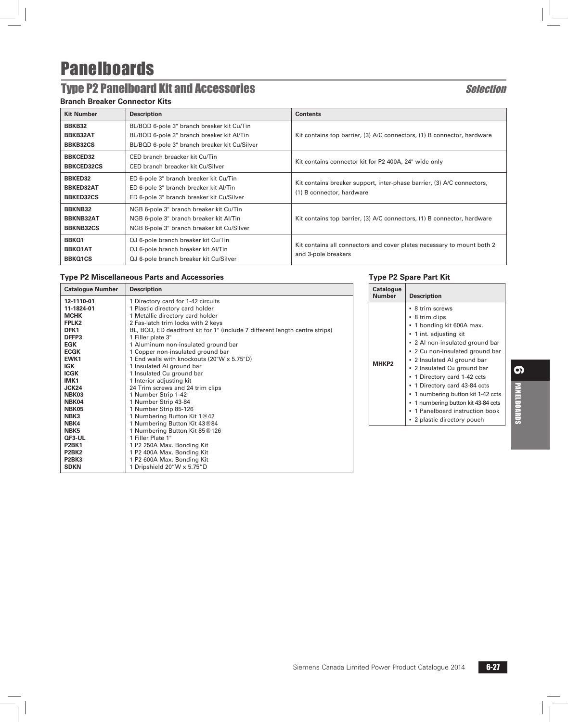# Type P2 Panelboard Kit and Accessories Selection

#### **Branch Breaker Connector Kits**

| <b>Kit Number</b>                                      | <b>Description</b>                                                                                                                        | <b>Contents</b>                                                                                     |
|--------------------------------------------------------|-------------------------------------------------------------------------------------------------------------------------------------------|-----------------------------------------------------------------------------------------------------|
| BBKB32<br>BBKB32AT<br><b>BBKB32CS</b>                  | BL/BQD 6-pole 3" branch breaker kit Cu/Tin<br>BL/BQD 6-pole 3" branch breaker kit Al/Tin<br>BL/BQD 6-pole 3" branch breaker kit Cu/Silver | Kit contains top barrier, (3) A/C connectors, (1) B connector, hardware                             |
| <b>BBKCED32</b><br><b>BBKCED32CS</b>                   | CED branch breacker kit Cu/Tin<br>CED branch breacker kit Cu/Silver                                                                       | Kit contains connector kit for P2 400A, 24" wide only                                               |
| <b>BBKED32</b><br><b>BBKED32AT</b><br><b>BBKED32CS</b> | ED 6-pole 3" branch breaker kit Cu/Tin<br>ED 6-pole 3" branch breaker kit Al/Tin<br>ED 6-pole 3" branch breaker kit Cu/Silver             | Kit contains breaker support, inter-phase barrier, (3) A/C connectors,<br>(1) B connector, hardware |
| <b>BBKNB32</b><br><b>BBKNB32AT</b><br><b>BBKNB32CS</b> | NGB 6-pole 3" branch breaker kit Cu/Tin<br>NGB 6-pole 3" branch breaker kit Al/Tin<br>NGB 6-pole 3" branch breaker kit Cu/Silver          | Kit contains top barrier, (3) A/C connectors, (1) B connector, hardware                             |
| BBKQ1<br><b>BBKQ1AT</b><br><b>BBKQ1CS</b>              | QJ 6-pole branch breaker kit Cu/Tin<br>QJ 6-pole branch breaker kit Al/Tin<br>QJ 6-pole branch breaker kit Cu/Silver                      | Kit contains all connectors and cover plates necessary to mount both 2<br>and 3-pole breakers       |

#### **Type P2 Miscellaneous Parts and Accessories**

| <b>Catalogue Number</b>        | <b>Description</b>                                                          |
|--------------------------------|-----------------------------------------------------------------------------|
| 12-1110-01                     | 1 Directory card for 1-42 circuits                                          |
| 11-1824-01                     | 1 Plastic directory card holder                                             |
| <b>MCHK</b>                    | 1 Metallic directory card holder                                            |
| FPLK <sub>2</sub>              | 2 Fas-latch trim locks with 2 keys                                          |
| DFK1                           | BL, BQD, ED deadfront kit for 1" (include 7 different length centre strips) |
| DFFP3                          | 1 Filler plate 3"                                                           |
| <b>EGK</b>                     | 1 Aluminum non-insulated ground bar                                         |
| <b>ECGK</b>                    | 1 Copper non-insulated ground bar                                           |
| EWK1                           | 1 End walls with knockouts (20"W x 5.75"D)                                  |
| <b>IGK</b>                     | 1 Insulated AI ground bar                                                   |
| <b>ICGK</b>                    | 1 Insulated Cu ground bar                                                   |
| IMK <sub>1</sub>               | 1 Interior adjusting kit                                                    |
| JCK24                          | 24 Trim screws and 24 trim clips                                            |
| NBK03                          | 1 Number Strip 1-42                                                         |
| NBK04                          | 1 Number Strip 43-84                                                        |
| NBK05                          | 1 Number Strip 85-126                                                       |
| NBK3                           | 1 Numbering Button Kit 1@42                                                 |
| NBK4                           | 1 Numbering Button Kit 43@84                                                |
| NBK <sub>5</sub>               | 1 Numbering Button Kit 85@126                                               |
| QF3-UL                         | 1 Filler Plate 1"                                                           |
| <b>P2BK1</b>                   | 1 P2 250A Max. Bonding Kit                                                  |
| P <sub>2</sub> BK <sub>2</sub> | 1 P2 400A Max. Bonding Kit                                                  |
| P <sub>2</sub> BK <sub>3</sub> | 1 P2 600A Max. Bonding Kit                                                  |
| <b>SDKN</b>                    | 1 Dripshield 20"W x 5.75"D                                                  |

#### **Type P2 Spare Part Kit**

|       | <b>Description</b>                                                                                                                                                                                                                                                                                                                                                                                                                       |
|-------|------------------------------------------------------------------------------------------------------------------------------------------------------------------------------------------------------------------------------------------------------------------------------------------------------------------------------------------------------------------------------------------------------------------------------------------|
| MHKP2 | • 8 trim screws<br>• 8 trim clips<br>• 1 bonding kit 600A max.<br>• 1 int. adjusting kit<br>• 2 Al non-insulated ground bar<br>. 2 Cu non-insulated ground bar<br>• 2 Insulated AI ground bar<br>• 2 Insulated Cu ground bar<br>• 1 Directory card 1-42 ccts<br>• 1 Directory card 43-84 ccts<br>■ 1 numbering button kit 1-42 ccts<br>1 numbering button kit 43-84 ccts<br>1 Panelboard instruction book<br>• 2 plastic directory pouch |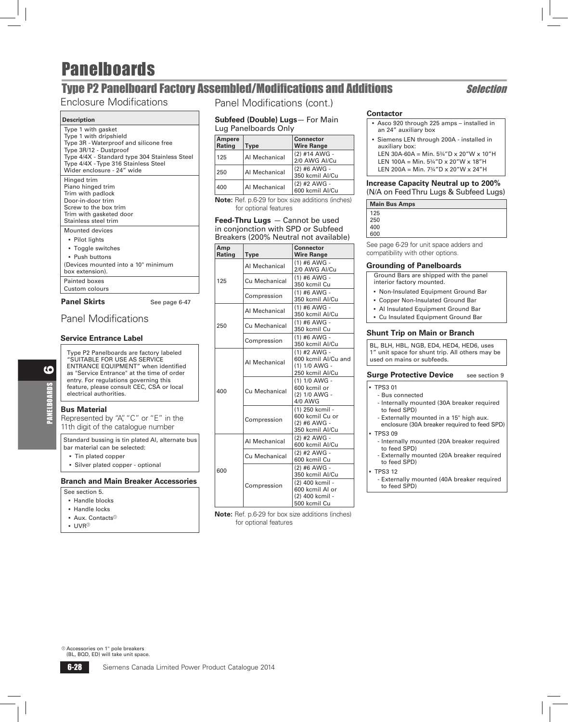## **Type P2 Panelboard Factory Assembled/Modifications and Additions Selection**

### Enclosure Modifications

#### **Description**

| Type 1 with gasket<br>Type 1 with dripshield<br>Type 3R - Waterproof and silicone free<br>Type 3R/12 - Dustproof<br>Type 4/4X - Standard type 304 Stainless Steel<br>Type 4/4X - Type 316 Stainless Steel<br>Wider enclosure - 24" wide |  |
|-----------------------------------------------------------------------------------------------------------------------------------------------------------------------------------------------------------------------------------------|--|
| Hinged trim<br>Piano hinged trim<br>Trim with padlock<br>Door-in-door trim<br>Screw to the box trim<br>Trim with gasketed door<br>Stainless steel trim                                                                                  |  |
| Mounted devices                                                                                                                                                                                                                         |  |
| • Pilot lights                                                                                                                                                                                                                          |  |
| • Toggle switches                                                                                                                                                                                                                       |  |
| • Push buttons                                                                                                                                                                                                                          |  |
| (Devices mounted into a 10" minimum                                                                                                                                                                                                     |  |
| box extension).                                                                                                                                                                                                                         |  |
| Painted boxes                                                                                                                                                                                                                           |  |
| Custom colours                                                                                                                                                                                                                          |  |
| <b>Panel Skirts</b><br>See page 6-47                                                                                                                                                                                                    |  |

### Panel Modifications

#### **Service Entrance Label**

Type P2 Panelboards are factory labeled "SUITABLE FOR USE AS SERVICE ENTRANCE EQUIPMENT" when identified as "Service Entrance" at the time of order entry. For regulations governing this feature, please consult CEC, CSA or local electrical authorities.

#### **Bus Material**

6

PANELBOARDS

**VELBOARDS** 

Represented by "A", "C" or "E" in the 11th digit of the catalogue number

Standard bussing is tin plated Al, alternate bus bar material can be selected:

- Tin plated copper
- **Silver plated copper optional**

#### **Branch and Main Breaker Accessories**

- See section 5.
- Handle blocks
- Handle locks
- **Aux. Contacts**<sup>®</sup>
- $\cdot$  UVR $^{\circ}$

Panel Modifications (cont.)

#### **Subfeed (Double) Lugs**— For Main Lug Panelboards Only

| Ampere<br>Rating | Type          | <b>Connector</b><br><b>Wire Range</b> |
|------------------|---------------|---------------------------------------|
| 125              | Al Mechanical | (2) #14 AWG -<br>2/0 AWG AI/Cu        |
| 250              | Al Mechanical | (2) #6 AWG -<br>350 kcmil Al/Cu       |
| 400              | Al Mechanical | (2) #2 AWG -<br>600 kcmil Al/Cu       |

**Note:** Ref. p.6-29 for box size additions (inches) for optional features

#### **Feed-Thru Lugs** — Cannot be used in conjonction with SPD or Subfeed Breakers (200% Neutral not available)

| <b>Type</b>   | <b>Connector</b><br><b>Wire Range</b>                                                                    |  |  |  |  |
|---------------|----------------------------------------------------------------------------------------------------------|--|--|--|--|
| Al Mechanical | $(1)$ #6 AWG -<br>2/0 AWG AI/Cu                                                                          |  |  |  |  |
| Cu Mechanical | $(1)$ #6 AWG -<br>350 kcmil Cu                                                                           |  |  |  |  |
| Compression   | $(1)$ #6 AWG -<br>350 kcmil Al/Cu                                                                        |  |  |  |  |
| Al Mechanical | (1) #6 AWG -<br>350 kcmil Al/Cu                                                                          |  |  |  |  |
| Cu Mechanical | (1) #6 AWG -<br>350 kcmil Cu                                                                             |  |  |  |  |
| Compression   | $(1)$ #6 AWG -<br>350 kcmil Al/Cu                                                                        |  |  |  |  |
| Al Mechanical | $(1)$ #2 AWG -<br>600 kcmil Al/Cu and<br>(1) 1/0 AWG -<br>250 kcmil Al/Cu                                |  |  |  |  |
| Cu Mechanical | $(1) 1/0$ AWG -<br>600 kcmil or<br>(2) 1/0 AWG -<br>4/0 AWG                                              |  |  |  |  |
| Compression   | (1) 250 kcmil -<br>600 kcmil Cu or<br>(2) #6 AWG -<br>350 kcmil Al/Cu                                    |  |  |  |  |
| Al Mechanical | (2) #2 AWG -<br>600 kcmil Al/Cu                                                                          |  |  |  |  |
| Cu Mechanical | (2) #2 AWG -<br>600 kcmil Cu                                                                             |  |  |  |  |
| Compression   | (2) #6 AWG -<br>350 kcmil Al/Cu<br>(2) 400 kcmil -<br>600 kcmil Al or<br>(2) 400 kcmil -<br>500 kcmil Cu |  |  |  |  |
|               |                                                                                                          |  |  |  |  |

**Note:** Ref. p.6-29 for box size additions (inches) for optional features

#### **Contactor**

- b Asco 920 through 225 amps installed in an 24" auxiliary box
- **Siemens LEN through 200A installed in** auxiliary box: LEN 30A-60A = Min.  $5\frac{3}{4}$ "D x 20"W x 10"H LEN 100A = Min.  $5\frac{3}{4}$ "D x 20"W x 18"H
- LEN 200A = Min. 7¾"D x 20"W x 24"H

#### **Increase Capacity Neutral up to 200%**  (N/A on Feed Thru Lugs & Subfeed Lugs)

|     | <b>Main Bus Amps</b> |                |          |  |
|-----|----------------------|----------------|----------|--|
| 125 |                      |                |          |  |
| 250 |                      |                |          |  |
| 400 |                      |                |          |  |
| 600 |                      |                |          |  |
| -   | - - - -              | $\blacksquare$ | $\cdots$ |  |

See page 6-29 for unit space adders and compatibility with other options.

#### **Grounding of Panelboards**

 Ground Bars are shipped with the panel interior factory mounted.

- **Non-Insulated Equipment Ground Bar**
- **Copper Non-Insulated Ground Bar**
- **Al Insulated Equipment Ground Bar**
- Cu Insulated Equipment Ground Bar

#### **Shunt Trip on Main or Branch**

BL, BLH, HBL, NGB, ED4, HED4, HED6, uses 1" unit space for shunt trip. All others may be used on mains or subfeeds.

#### **Surge Protective Device** see section 9

#### b TPS3 01

- Bus connected
- Internally mounted (30A breaker required to feed SPD)
- Externally mounted in a 15" high aux. enclosure (30A breaker required to feed SPD)
- $-$  TPS3 09
- Internally mounted (20A breaker required to feed SPD)
- Externally mounted (20A breaker required to feed SPD)

#### $-DSS 12$

 - Externally mounted (40A breaker required to feed SPD)

 $@$  Accessories on 1" pole breakers (BL, BQD, ED) will take unit space.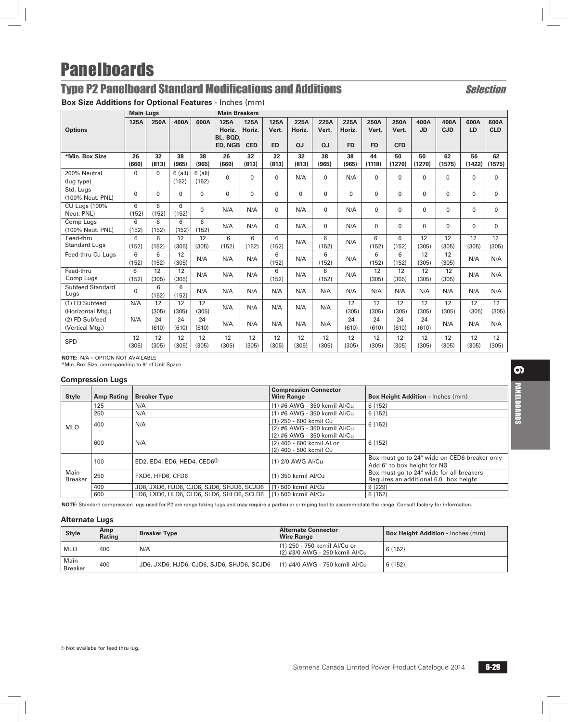# Type P2 Panelboard Standard Modifications and Additions Selection

**Box Size Additions for Optional Features** - Inches (mm)

|                                     | <b>Main Lugs</b> |                          |                    |                    | <b>Main Breakers</b>                  |                              |                            |                      |                     |                             |                            |                             |                   |                    |                   |                          |
|-------------------------------------|------------------|--------------------------|--------------------|--------------------|---------------------------------------|------------------------------|----------------------------|----------------------|---------------------|-----------------------------|----------------------------|-----------------------------|-------------------|--------------------|-------------------|--------------------------|
| <b>Options</b>                      | 125A             | 250A                     | 400A               | 600A               | 125A<br>Horiz.<br>BL, BQD,<br>ED, NGB | 125A<br>Horiz.<br><b>CED</b> | 125A<br>Vert.<br><b>ED</b> | 225A<br>Horiz.<br>QJ | 225A<br>Vert.<br>QJ | 225A<br>Horiz.<br><b>FD</b> | 250A<br>Vert.<br><b>FD</b> | 250A<br>Vert.<br><b>CFD</b> | 400A<br><b>JD</b> | 400A<br><b>CJD</b> | 600A<br><b>LD</b> | 600A<br><b>CLD</b>       |
| *Min. Box Size                      | 26<br>(660)      | 32<br>(813)              | 38<br>(965)        | 38<br>(965)        | 26<br>(660)                           | 32<br>(813)                  | 32<br>(813)                | 32<br>(813)          | 38<br>(965)         | 38<br>(965)                 | 44<br>(1118)               | 50<br>(1270)                | 50<br>(1270)      | 62<br>(1575)       | 56<br>(1422)      | 62<br>(1575)             |
| 200% Neutral<br>(lug type)          | $\Omega$         | $\Omega$                 | $6$ (all)<br>(152) | $6$ (all)<br>(152) | $\mathbf{0}$                          | 0                            | $\mathbf{0}$               | N/A                  | $\Omega$            | N/A                         | $\Omega$                   | $\Omega$                    | $\Omega$          | 0                  | $\Omega$          | 0                        |
| Std. Lugs<br>(100% Neut. PNL)       | $\Omega$         | $\Omega$                 | 0                  | 0                  | $\mathbf{0}$                          | 0                            | $\mathbf{0}$               | $\Omega$             | $\Omega$            | $\Omega$                    | $\mathbf{0}$               | $\mathbf{0}$                | $\mathbf{0}$      | 0                  | 0                 | $\mathbf{0}$             |
| <b>CU Lugs (100%</b><br>Neut. PNL)  | 6<br>(152)       | 6<br>(152)               | 6<br>(152)         | $\Omega$           | N/A                                   | N/A                          | 0                          | N/A                  | $\mathbf 0$         | N/A                         | $\Omega$                   | $\Omega$                    | $\Omega$          | $\Omega$           | $\Omega$          | 0                        |
| Comp Lugs<br>(100% Neut. PNL)       | 6<br>(152)       | 6<br>(152)               | 6<br>(152)         | 6<br>(152)         | N/A                                   | N/A                          | $\Omega$                   | N/A                  | $\mathbf 0$         | N/A                         | $\Omega$                   | $\mathbf{0}$                | 0                 | 0                  | $\Omega$          | $\mathbf{0}$             |
| Feed-thru<br><b>Standard Lugs</b>   | 6<br>(152)       | 6<br>(152)               | 12<br>(305)        | 12<br>(305)        | 6<br>(152)                            | 6<br>(152)                   | 6<br>(152)                 | N/A                  | 6<br>(152)          | N/A                         | 6<br>(152)                 | 6<br>(152)                  | 12<br>(305)       | 12<br>(305)        | 12<br>(305)       | $\overline{12}$<br>(305) |
| Feed-thru Cu Luas                   | 6<br>(152)       | 6<br>(152)               | 12<br>(305)        | N/A                | N/A                                   | N/A                          | 6<br>(152)                 | N/A                  | 6<br>(152)          | N/A                         | 6<br>(152)                 | 6<br>(152)                  | 12<br>(305)       | 12<br>(305)        | N/A               | N/A                      |
| Feed-thru<br>Comp Lugs              | 6<br>(152)       | 12<br>(305)              | 12<br>(305)        | N/A                | N/A                                   | N/A                          | 6<br>(152)                 | N/A                  | 6<br>(152)          | N/A                         | 12<br>(305)                | 12<br>(305)                 | 12<br>(305)       | 12<br>(305)        | N/A               | N/A                      |
| <b>Subfeed Standard</b><br>Lugs     | $\Omega$         | 6<br>(152)               | 6<br>(152)         | N/A                | N/A                                   | N/A                          | N/A                        | N/A                  | N/A                 | N/A                         | N/A                        | N/A                         | N/A               | N/A                | N/A               | N/A                      |
| (1) FD Subfeed<br>(Horizontal Mtg.) | N/A              | $\overline{12}$<br>(305) | 12<br>(305)        | 12<br>(305)        | N/A                                   | N/A                          | N/A                        | N/A                  | N/A                 | 12<br>(305)                 | 12<br>(305)                | 12<br>(305)                 | 12<br>(305)       | 12<br>(305)        | 12<br>(305)       | $\overline{12}$<br>(305) |
| (2) FD Subfeed<br>(Vertical Mtg.)   | N/A              | 24<br>(610)              | 24<br>(610)        | 24<br>(610)        | N/A                                   | N/A                          | N/A                        | N/A                  | N/A                 | 24<br>(610)                 | 24<br>(610)                | 24<br>(610)                 | 24<br>(610)       | N/A                | N/A               | N/A                      |
| SPD                                 | 12<br>(305)      | 12<br>(305)              | 12<br>(305)        | 12<br>(305)        | 12<br>(305)                           | 12<br>(305)                  | 12<br>(305)                | 12<br>(305)          | 12<br>(305)         | 12<br>(305)                 | 12<br>(305)                | 12<br>(305)                 | 12<br>(305)       | 12<br>(305)        | 12<br>(305)       | 12<br>(305)              |

**NOTE:** N/A = OPTION NOT AVAILABLE

\*Min. Box Size, corresponding to 9" of Unit Space.

#### **Compression Lugs**

| <b>Style</b>           | <b>Amp Rating</b> | <b>Breaker Type</b>                       | <b>Compression Connector</b><br><b>Wire Range</b> | Box Height Addition - Inches (mm)            |  |
|------------------------|-------------------|-------------------------------------------|---------------------------------------------------|----------------------------------------------|--|
| MLO                    | 125               | N/A                                       | (1) #6 AWG - 350 kcmil Al/Cu                      | 6(152)                                       |  |
|                        | 250               | N/A                                       | (1) #6 AWG - 350 kcmil Al/Cu                      | 6(152)                                       |  |
|                        | 400               | N/A                                       | (1) 250 - 600 kcmil Cu                            | 6(152)                                       |  |
|                        |                   |                                           | (2) #6 AWG - 350 kcmil Al/Cu                      |                                              |  |
|                        | 600               | N/A                                       | (2) #6 AWG - 350 kcmil Al/Cu                      | 6(152)                                       |  |
|                        |                   |                                           | (2) 400 - 600 kcmil Al or                         |                                              |  |
|                        |                   |                                           | (2) 400 - 500 kcmil Cu                            |                                              |  |
|                        | 100               | ED2, ED4, ED6, HED4, CED6 <sup>0</sup>    | (1) 2/0 AWG AI/Cu                                 | Box must go to 24" wide on CED6 breaker only |  |
| Main<br><b>Breaker</b> |                   |                                           |                                                   | Add 6" to box height for NØ                  |  |
|                        | 250               | FXD6, HFD6, CFD6                          | (1) 350 kcmil Al/Cu                               | Box must go to 24" wide for all breakers     |  |
|                        |                   |                                           |                                                   | Requires an additional 6.0" box height       |  |
|                        | 400               | JD6, JXD6, HJD6, CJD6, SJD6, SHJD6, SCJD6 | (1) 500 kcmil Al/Cu                               | 9(229)                                       |  |
|                        | 600               | LD6, LXD6, HLD6, CLD6, SLD6, SHLD6, SCLD6 | (1) 500 kcmil Al/Cu                               | 6(152)                                       |  |

**NOTE:** Standard compression lugs used for P2 are range taking lugs and may require a particular crimping tool to accommodate the range. Consult factory for information.

#### **Alternate Lugs**

| <b>Style</b>           | Amp<br>Rating | <b>Breaker Type</b>                       | <b>Alternate Connector</b><br><b>Wire Range</b>                | <b>Box Height Addition - Inches (mm)</b> |
|------------------------|---------------|-------------------------------------------|----------------------------------------------------------------|------------------------------------------|
| <b>MLO</b>             | 400           | N/A                                       | (1) 250 - 750 kcmil Al/Cu or<br>(2) #3/0 AWG - 250 kcmil Al/Cu | 6(152)                                   |
| Main<br><b>Breaker</b> | 400           | JD6, JXD6, HJD6, CJD6, SJD6, SHJD6, SCJD6 | (1) #4/0 AWG - 750 kcmil Al/Cu                                 | 6(152)                                   |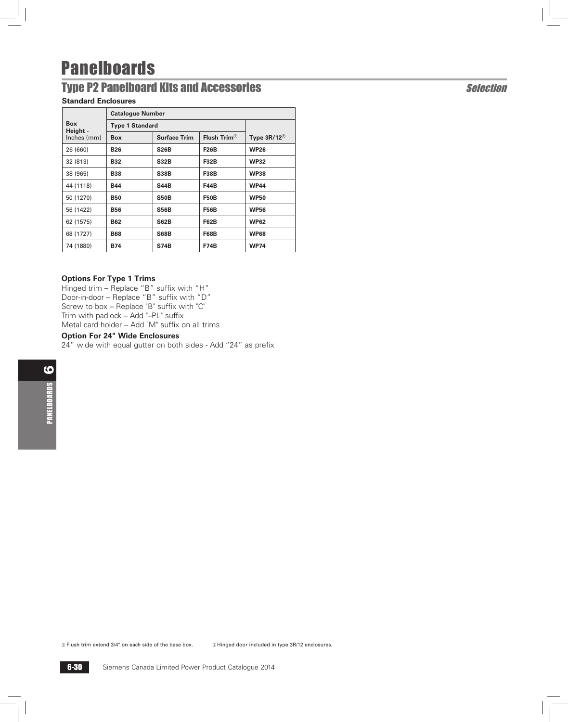## Type P2 Panelboard Kits and Accessories Selection

### **Standard Enclosures**

|                        | <b>Catalogue Number</b> |                     |                           |                             |  |  |
|------------------------|-------------------------|---------------------|---------------------------|-----------------------------|--|--|
| <b>Box</b><br>Height - | <b>Type 1 Standard</b>  |                     |                           |                             |  |  |
| Inches (mm)            | <b>Box</b>              | <b>Surface Trim</b> | Flush Trim $^{\circledR}$ | Type $3R/12^{\circledcirc}$ |  |  |
| 26 (660)               | <b>B26</b>              | <b>S26B</b>         | <b>F26B</b>               | <b>WP26</b>                 |  |  |
| 32 (813)               | <b>B32</b>              | <b>S32B</b>         | <b>F32B</b>               | <b>WP32</b>                 |  |  |
| 38 (965)               | <b>B38</b>              | <b>S38B</b>         | <b>F38B</b>               | <b>WP38</b>                 |  |  |
| 44 (1118)              | <b>B44</b>              | <b>S44B</b>         | <b>F44B</b>               | <b>WP44</b>                 |  |  |
| 50 (1270)              | <b>B50</b>              | <b>S50B</b>         | <b>F50B</b>               | <b>WP50</b>                 |  |  |
| 56 (1422)              | <b>B56</b>              | <b>S56B</b>         | <b>F56B</b>               | <b>WP56</b>                 |  |  |
| 62 (1575)              | <b>B62</b>              | <b>S62B</b>         | <b>F62B</b>               | <b>WP62</b>                 |  |  |
| 68 (1727)              | <b>B68</b>              | <b>S68B</b>         | <b>F68B</b>               | <b>WP68</b>                 |  |  |
| 74 (1880)              | <b>B74</b>              | <b>S74B</b>         | <b>F74B</b>               | <b>WP74</b>                 |  |  |
|                        |                         |                     |                           |                             |  |  |

#### **Options For Type 1 Trims**

Hinged trim – Replace "B" suffix with "H" Door-in-door – Replace "B" suffix with "D" Screw to box – Replace "B" suffix with "C" Trim with padlock – Add "–PL" suffix Metal card holder – Add "M" suffix on all trims

#### **Option For 24" Wide Enclosures**

24" wide with equal gutter on both sides - Add "24" as prefix